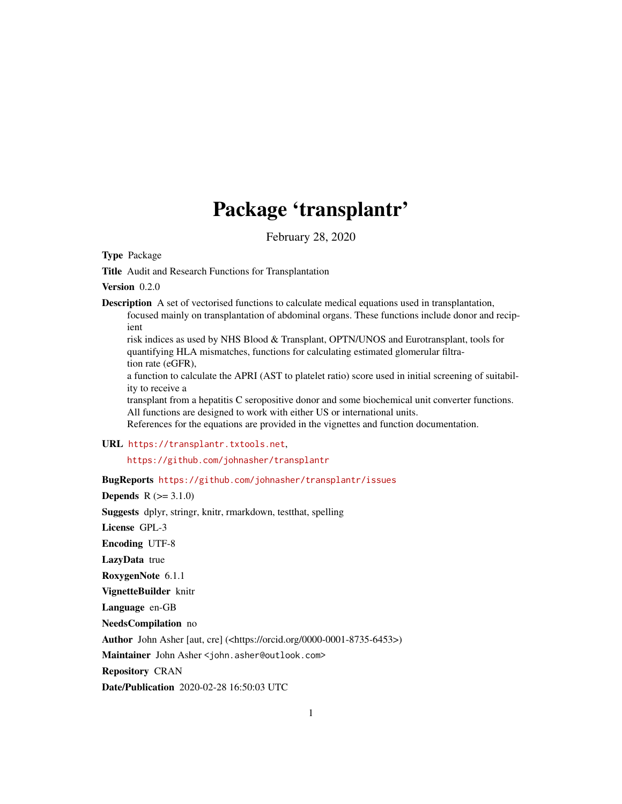## Package 'transplantr'

February 28, 2020

Type Package

Title Audit and Research Functions for Transplantation

Version 0.2.0

Description A set of vectorised functions to calculate medical equations used in transplantation, focused mainly on transplantation of abdominal organs. These functions include donor and recipient

risk indices as used by NHS Blood & Transplant, OPTN/UNOS and Eurotransplant, tools for quantifying HLA mismatches, functions for calculating estimated glomerular filtration rate (eGFR),

a function to calculate the APRI (AST to platelet ratio) score used in initial screening of suitability to receive a

transplant from a hepatitis C seropositive donor and some biochemical unit converter functions. All functions are designed to work with either US or international units.

References for the equations are provided in the vignettes and function documentation.

URL <https://transplantr.txtools.net>,

<https://github.com/johnasher/transplantr>

BugReports <https://github.com/johnasher/transplantr/issues>

**Depends**  $R (=3.1.0)$ 

Suggests dplyr, stringr, knitr, rmarkdown, testthat, spelling

License GPL-3

Encoding UTF-8

LazyData true

RoxygenNote 6.1.1

VignetteBuilder knitr

Language en-GB

NeedsCompilation no

Author John Asher [aut, cre] (<https://orcid.org/0000-0001-8735-6453>)

Maintainer John Asher <john.asher@outlook.com>

Repository CRAN

Date/Publication 2020-02-28 16:50:03 UTC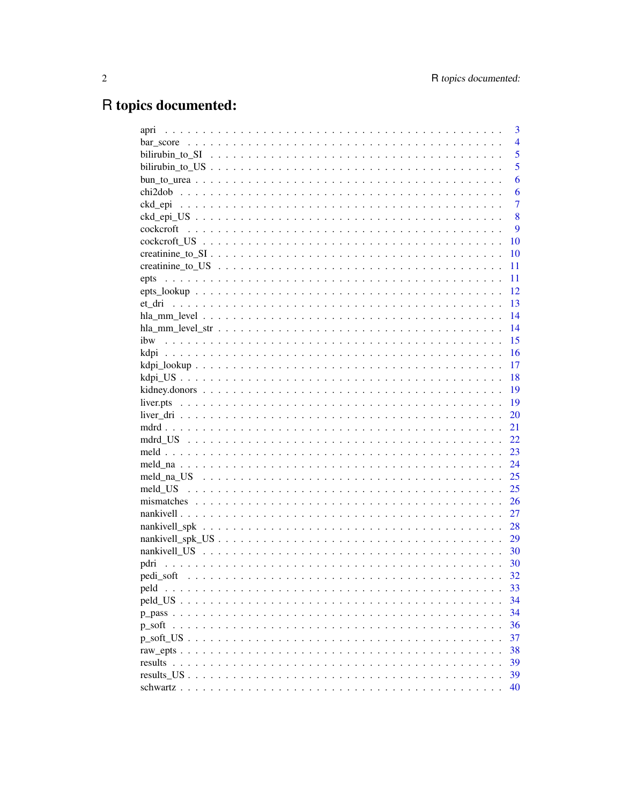# R topics documented:

| apri      | 3              |
|-----------|----------------|
|           | $\overline{4}$ |
|           | 5              |
|           | 5              |
|           | 6              |
| chi2dob   | 6              |
|           | $\overline{7}$ |
|           | 8              |
| cockcroft | 9              |
|           | 10             |
|           | 10             |
|           | 11             |
| epts      | 11             |
|           | 12             |
| et dri    | 13             |
|           | 14             |
|           | 14             |
| ibw       | 15             |
|           | 16             |
|           | 17             |
|           | 18             |
|           | 19             |
|           | 19             |
|           | 20             |
|           | 21             |
|           | 22             |
|           | 23             |
|           | 24             |
|           | 25             |
|           | 25             |
|           | 26             |
|           |                |
|           | 27             |
|           | 28             |
|           | 29             |
|           | 30             |
| pdri      | 30             |
|           | 32             |
| peld      | 33             |
|           | 34             |
|           | 34             |
|           | 36             |
|           | 37             |
|           | 38             |
|           | 39             |
|           | 39             |
|           | 40             |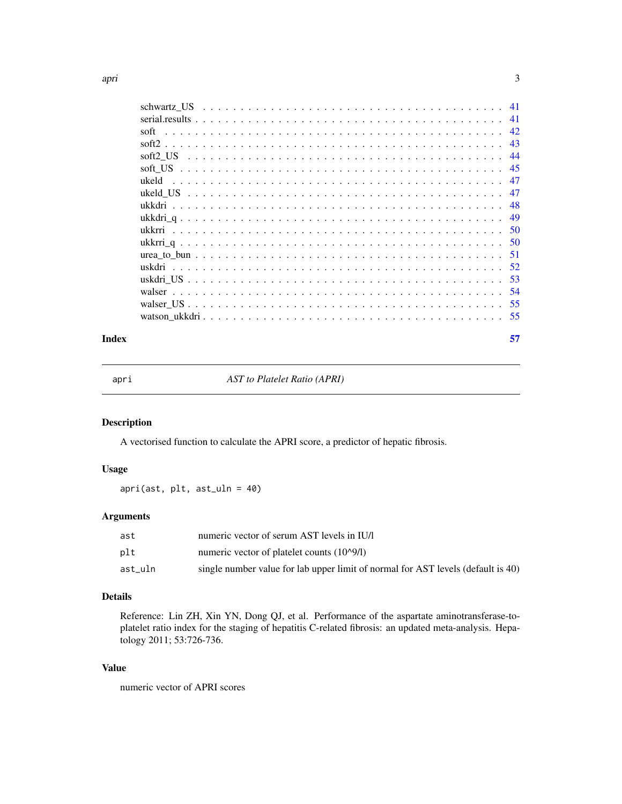<span id="page-2-0"></span>

| 45 |
|----|
|    |
| 47 |
| 48 |
|    |
|    |
|    |
|    |
|    |
|    |
|    |
|    |
|    |
|    |

#### **Index** [57](#page-56-0)

apri *AST to Platelet Ratio (APRI)*

### Description

A vectorised function to calculate the APRI score, a predictor of hepatic fibrosis.

### Usage

apri(ast, plt, ast\_uln = 40)

### Arguments

| ast     | numeric vector of serum AST levels in IU/l                                       |
|---------|----------------------------------------------------------------------------------|
| plt     | numeric vector of platelet counts (10^9/l)                                       |
| ast uln | single number value for lab upper limit of normal for AST levels (default is 40) |

### Details

Reference: Lin ZH, Xin YN, Dong QJ, et al. Performance of the aspartate aminotransferase-toplatelet ratio index for the staging of hepatitis C-related fibrosis: an updated meta-analysis. Hepatology 2011; 53:726-736.

### Value

numeric vector of APRI scores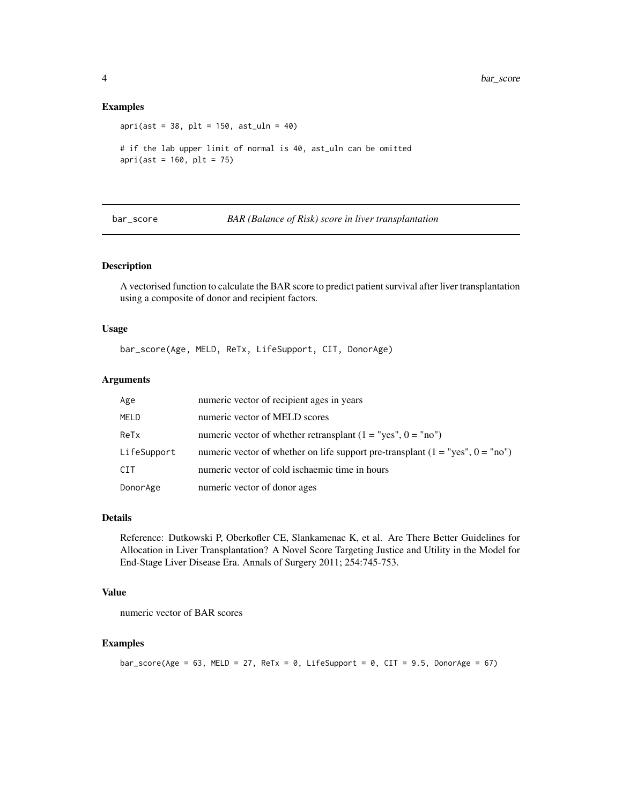#### Examples

apri(ast = 38, plt = 150, ast\_uln = 40) # if the lab upper limit of normal is 40, ast\_uln can be omitted  $apri(ast = 160, plt = 75)$ 

bar\_score *BAR (Balance of Risk) score in liver transplantation*

### Description

A vectorised function to calculate the BAR score to predict patient survival after liver transplantation using a composite of donor and recipient factors.

### Usage

bar\_score(Age, MELD, ReTx, LifeSupport, CIT, DonorAge)

### Arguments

| Age         | numeric vector of recipient ages in years                                        |
|-------------|----------------------------------------------------------------------------------|
| MELD        | numeric vector of MELD scores                                                    |
| ReTx        | numeric vector of whether retransplant $(1 = "yes", 0 = "no")$                   |
| LifeSupport | numeric vector of whether on life support pre-transplant $(1 = "yes", 0 = "no")$ |
| <b>CIT</b>  | numeric vector of cold ischaemic time in hours                                   |
| DonorAge    | numeric vector of donor ages                                                     |

#### Details

Reference: Dutkowski P, Oberkofler CE, Slankamenac K, et al. Are There Better Guidelines for Allocation in Liver Transplantation? A Novel Score Targeting Justice and Utility in the Model for End-Stage Liver Disease Era. Annals of Surgery 2011; 254:745-753.

### Value

numeric vector of BAR scores

### Examples

bar\_score(Age = 63, MELD = 27, ReTx = 0, LifeSupport = 0, CIT = 9.5, DonorAge = 67)

<span id="page-3-0"></span>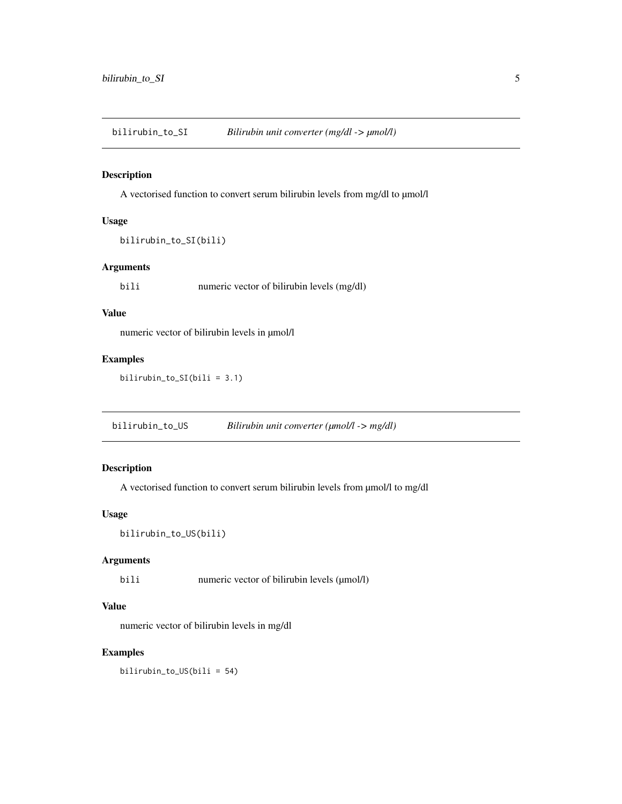<span id="page-4-0"></span>bilirubin\_to\_SI *Bilirubin unit converter (mg/dl -> µmol/l)*

### Description

A vectorised function to convert serum bilirubin levels from mg/dl to µmol/l

#### Usage

```
bilirubin_to_SI(bili)
```
### Arguments

bili numeric vector of bilirubin levels (mg/dl)

### Value

numeric vector of bilirubin levels in µmol/l

### Examples

bilirubin\_to\_SI(bili = 3.1)

bilirubin\_to\_US *Bilirubin unit converter (µmol/l -> mg/dl)*

### Description

A vectorised function to convert serum bilirubin levels from µmol/l to mg/dl

### Usage

```
bilirubin_to_US(bili)
```
### Arguments

bili numeric vector of bilirubin levels (µmol/l)

### Value

numeric vector of bilirubin levels in mg/dl

### Examples

bilirubin\_to\_US(bili = 54)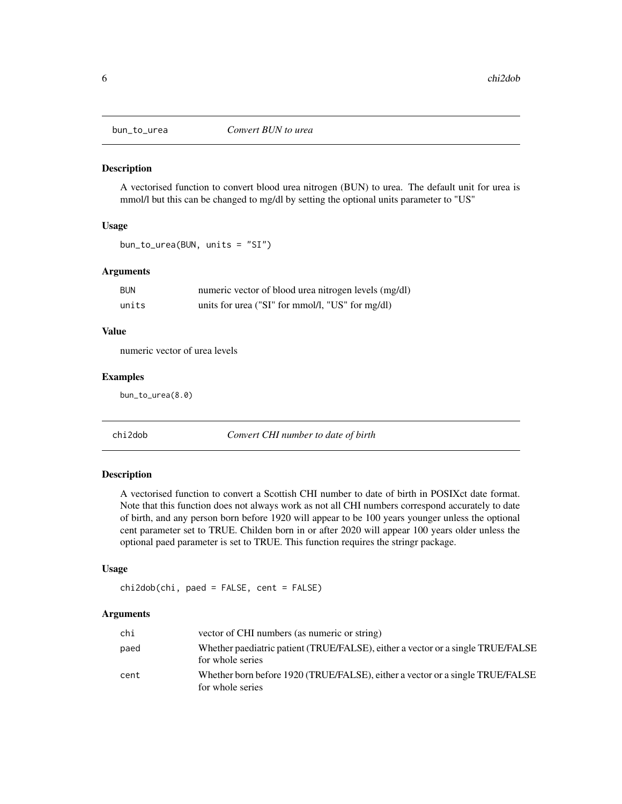<span id="page-5-0"></span>

A vectorised function to convert blood urea nitrogen (BUN) to urea. The default unit for urea is mmol/l but this can be changed to mg/dl by setting the optional units parameter to "US"

#### Usage

bun\_to\_urea(BUN, units = "SI")

#### Arguments

| <b>BUN</b> | numeric vector of blood urea nitrogen levels (mg/dl) |
|------------|------------------------------------------------------|
| units      | units for urea ("SI" for mmol/l, "US" for mg/dl)     |

### Value

numeric vector of urea levels

#### Examples

bun\_to\_urea(8.0)

chi2dob *Convert CHI number to date of birth*

### Description

A vectorised function to convert a Scottish CHI number to date of birth in POSIXct date format. Note that this function does not always work as not all CHI numbers correspond accurately to date of birth, and any person born before 1920 will appear to be 100 years younger unless the optional cent parameter set to TRUE. Childen born in or after 2020 will appear 100 years older unless the optional paed parameter is set to TRUE. This function requires the stringr package.

### Usage

```
chi2dob(chi, paed = FALSE, cent = FALSE)
```
### Arguments

| chi  | vector of CHI numbers (as numeric or string)                                                        |
|------|-----------------------------------------------------------------------------------------------------|
| paed | Whether paediatric patient (TRUE/FALSE), either a vector or a single TRUE/FALSE<br>for whole series |
| cent | Whether born before 1920 (TRUE/FALSE), either a vector or a single TRUE/FALSE<br>for whole series   |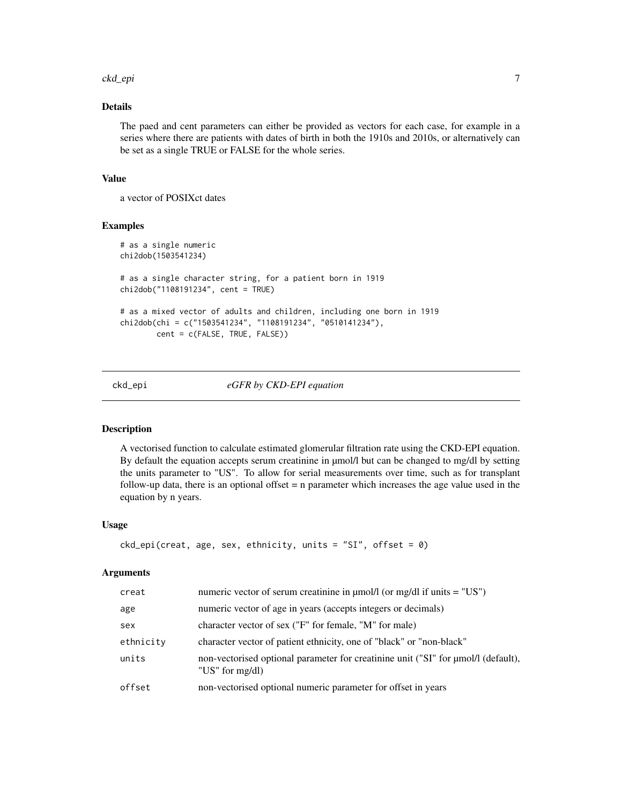#### <span id="page-6-0"></span>ckd\_epi 7

### Details

The paed and cent parameters can either be provided as vectors for each case, for example in a series where there are patients with dates of birth in both the 1910s and 2010s, or alternatively can be set as a single TRUE or FALSE for the whole series.

### Value

a vector of POSIXct dates

### Examples

```
# as a single numeric
chi2dob(1503541234)
# as a single character string, for a patient born in 1919
chi2dob("1108191234", cent = TRUE)
# as a mixed vector of adults and children, including one born in 1919
chi2dob(chi = c("1503541234", "1108191234", "0510141234"),
       cent = c(FALSE, TRUE, FALSE))
```
#### ckd\_epi *eGFR by CKD-EPI equation*

### Description

A vectorised function to calculate estimated glomerular filtration rate using the CKD-EPI equation. By default the equation accepts serum creatinine in µmol/l but can be changed to mg/dl by setting the units parameter to "US". To allow for serial measurements over time, such as for transplant follow-up data, there is an optional offset = n parameter which increases the age value used in the equation by n years.

#### Usage

```
ckd_epi(creat, age, sex, ethnicity, units = "SI", offset = 0)
```
### Arguments

| creat     | numeric vector of serum creatinine in $\mu$ mol/l (or mg/dl if units = "US")                              |
|-----------|-----------------------------------------------------------------------------------------------------------|
| age       | numeric vector of age in years (accepts integers or decimals)                                             |
| sex       | character vector of sex ("F" for female, "M" for male)                                                    |
| ethnicity | character vector of patient ethnicity, one of "black" or "non-black"                                      |
| units     | non-vectorised optional parameter for creatinine unit ("SI" for $\mu$ mol/l (default),<br>"US" for mg/dl) |
| offset    | non-vectorised optional numeric parameter for offset in years                                             |
|           |                                                                                                           |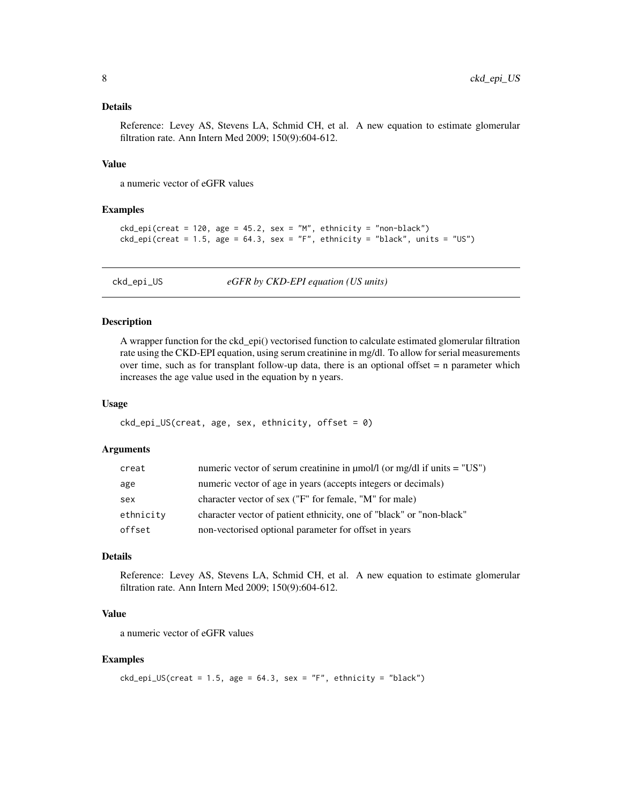### <span id="page-7-0"></span>Details

Reference: Levey AS, Stevens LA, Schmid CH, et al. A new equation to estimate glomerular filtration rate. Ann Intern Med 2009; 150(9):604-612.

### Value

a numeric vector of eGFR values

#### Examples

```
ckd_epi(creat = 120, age = 45.2, sex = "M", ethnicity = "non-black")ckd\_epi(creat = 1.5, age = 64.3, sex = "F", ethnicity = "black", units = "US")
```
ckd\_epi\_US *eGFR by CKD-EPI equation (US units)*

### Description

A wrapper function for the ckd\_epi() vectorised function to calculate estimated glomerular filtration rate using the CKD-EPI equation, using serum creatinine in mg/dl. To allow for serial measurements over time, such as for transplant follow-up data, there is an optional offset  $= n$  parameter which increases the age value used in the equation by n years.

#### Usage

```
ckd_epi_lUS(creat, age, sex, ethnicity, offset = <math>0</math>)
```
### Arguments

| creat     | numeric vector of serum creatinine in $\mu$ mol/l (or mg/dl if units = "US") |
|-----------|------------------------------------------------------------------------------|
| age       | numeric vector of age in years (accepts integers or decimals)                |
| sex       | character vector of sex ("F" for female, "M" for male)                       |
| ethnicity | character vector of patient ethnicity, one of "black" or "non-black"         |
| offset    | non-vectorised optional parameter for offset in years                        |

### Details

Reference: Levey AS, Stevens LA, Schmid CH, et al. A new equation to estimate glomerular filtration rate. Ann Intern Med 2009; 150(9):604-612.

### Value

a numeric vector of eGFR values

### Examples

 $ckd\_epi_US(creat = 1.5, age = 64.3, sex = "F", ethnicity = "black")$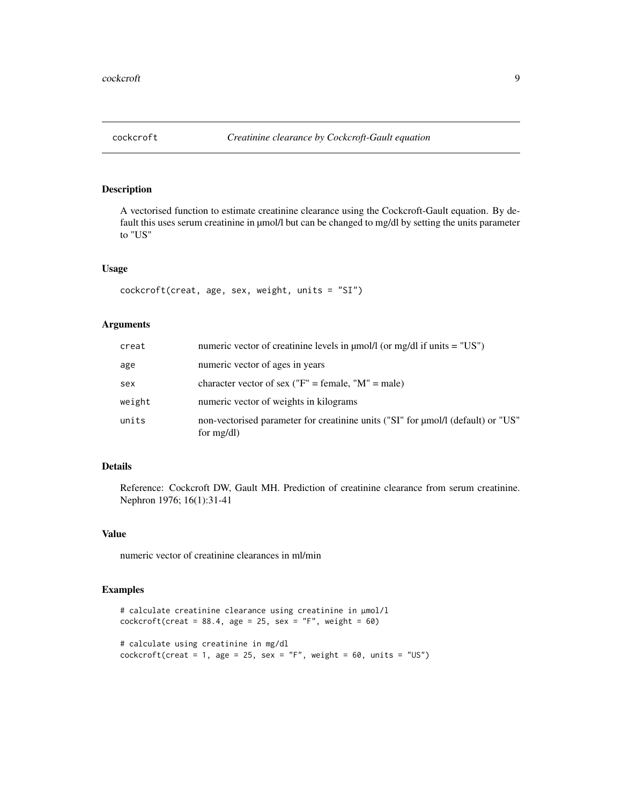<span id="page-8-0"></span>

A vectorised function to estimate creatinine clearance using the Cockcroft-Gault equation. By default this uses serum creatinine in  $\mu$ mol/l but can be changed to mg/dl by setting the units parameter to "US"

### Usage

```
cockcroft(creat, age, sex, weight, units = "SI")
```
### Arguments

| creat  | numeric vector of creatinine levels in $\mu$ mol/l (or mg/dl if units = "US")                     |
|--------|---------------------------------------------------------------------------------------------------|
| age    | numeric vector of ages in years                                                                   |
| sex    | character vector of sex ("F" = female, "M" = male)                                                |
| weight | numeric vector of weights in kilograms                                                            |
| units  | non-vectorised parameter for creatinine units ("SI" for µmol/l (default) or "US"<br>for $mg/dl$ ) |

#### Details

Reference: Cockcroft DW, Gault MH. Prediction of creatinine clearance from serum creatinine. Nephron 1976; 16(1):31-41

### Value

numeric vector of creatinine clearances in ml/min

```
# calculate creatinine clearance using creatinine in µmol/l
cokeroft(creat = 88.4, age = 25, sex = "F", weight = 60)# calculate using creatinine in mg/dl
cockcroft(creat = 1, age = 25, sex = "F", weight = 60, units = "US")
```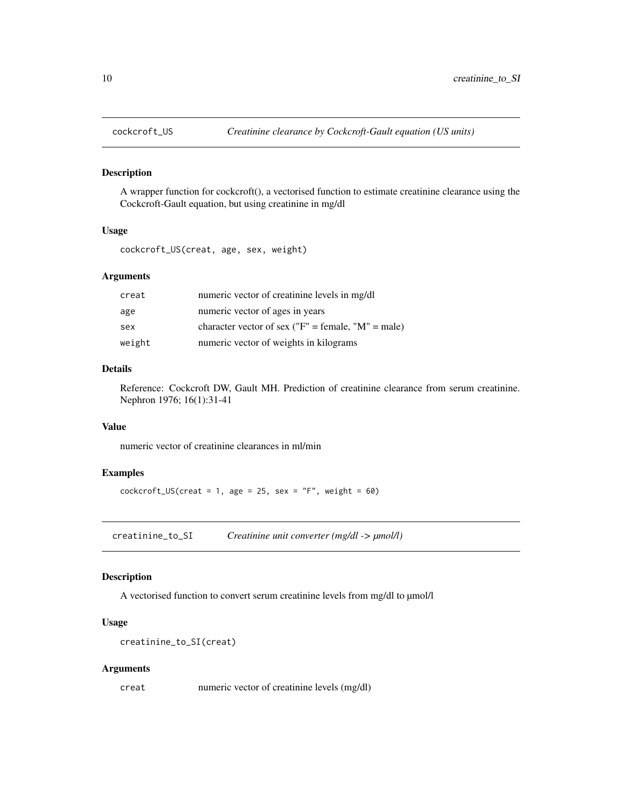<span id="page-9-0"></span>

A wrapper function for cockcroft(), a vectorised function to estimate creatinine clearance using the Cockcroft-Gault equation, but using creatinine in mg/dl

#### Usage

cockcroft\_US(creat, age, sex, weight)

### Arguments

| creat  | numeric vector of creatinine levels in mg/dl       |
|--------|----------------------------------------------------|
| age    | numeric vector of ages in years                    |
| sex    | character vector of sex ("F" = female, "M" = male) |
| weight | numeric vector of weights in kilograms             |

### Details

Reference: Cockcroft DW, Gault MH. Prediction of creatinine clearance from serum creatinine. Nephron 1976; 16(1):31-41

### Value

numeric vector of creatinine clearances in ml/min

### Examples

 $cockcroft_US(create = 1, age = 25, sex = "F", weight = 60)$ 

creatinine\_to\_SI *Creatinine unit converter (mg/dl -> µmol/l)*

### Description

A vectorised function to convert serum creatinine levels from mg/dl to  $\mu$ mol/l

### Usage

```
creatinine_to_SI(creat)
```
#### Arguments

creat numeric vector of creatinine levels (mg/dl)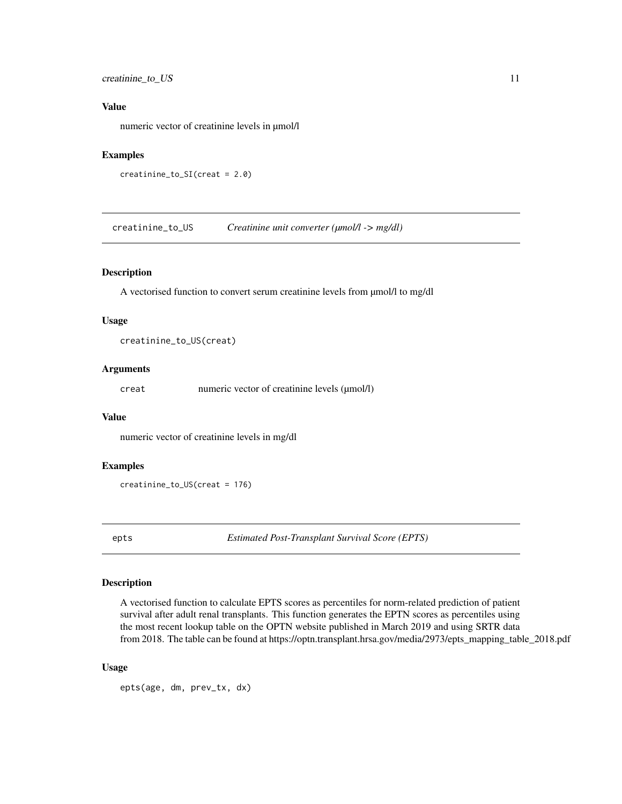### <span id="page-10-0"></span>creatinine\_to\_US 11

### Value

numeric vector of creatinine levels in µmol/l

### Examples

```
creatinine_to_SI(creat = 2.0)
```
creatinine\_to\_US *Creatinine unit converter (µmol/l -> mg/dl)*

### Description

A vectorised function to convert serum creatinine levels from µmol/l to mg/dl

#### Usage

creatinine\_to\_US(creat)

#### Arguments

creat numeric vector of creatinine levels (µmol/l)

### Value

numeric vector of creatinine levels in mg/dl

#### Examples

```
creatinine_to_US(creat = 176)
```
epts *Estimated Post-Transplant Survival Score (EPTS)*

### Description

A vectorised function to calculate EPTS scores as percentiles for norm-related prediction of patient survival after adult renal transplants. This function generates the EPTN scores as percentiles using the most recent lookup table on the OPTN website published in March 2019 and using SRTR data from 2018. The table can be found at https://optn.transplant.hrsa.gov/media/2973/epts\_mapping\_table\_2018.pdf

#### Usage

epts(age, dm, prev\_tx, dx)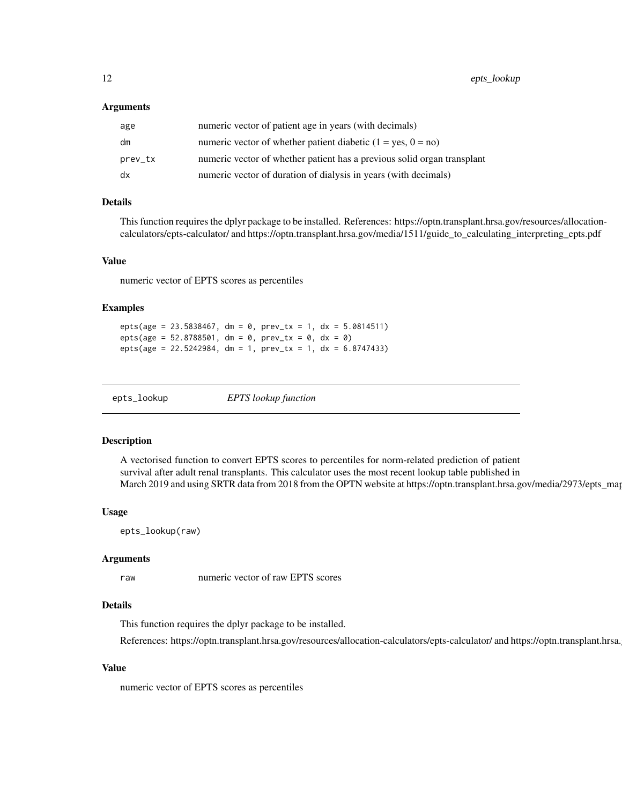#### <span id="page-11-0"></span>Arguments

| age     | numeric vector of patient age in years (with decimals)                  |
|---------|-------------------------------------------------------------------------|
| dm      | numeric vector of whether patient diabetic $(1 = yes, 0 = no)$          |
| prev_tx | numeric vector of whether patient has a previous solid organ transplant |
| dx      | numeric vector of duration of dialysis in years (with decimals)         |

### Details

This function requires the dplyr package to be installed. References: https://optn.transplant.hrsa.gov/resources/allocationcalculators/epts-calculator/ and https://optn.transplant.hrsa.gov/media/1511/guide\_to\_calculating\_interpreting\_epts.pdf

#### Value

numeric vector of EPTS scores as percentiles

#### Examples

 $epts(age = 23.5838467, dm = 0, prev_t x = 1, dx = 5.0814511)$  $epts(age = 52.8788501, dm = 0, prev_t x = 0, dx = 0)$ epts(age = 22.5242984, dm = 1, prev\_tx = 1, dx = 6.8747433)

epts\_lookup *EPTS lookup function*

#### Description

A vectorised function to convert EPTS scores to percentiles for norm-related prediction of patient survival after adult renal transplants. This calculator uses the most recent lookup table published in March 2019 and using SRTR data from 2018 from the OPTN website at https://optn.transplant.hrsa.gov/media/2973/epts\_map

#### Usage

epts\_lookup(raw)

#### Arguments

raw numeric vector of raw EPTS scores

#### Details

This function requires the dplyr package to be installed.

References: https://optn.transplant.hrsa.gov/resources/allocation-calculators/epts-calculator/ and https://optn.transplant.hrsa.

### Value

numeric vector of EPTS scores as percentiles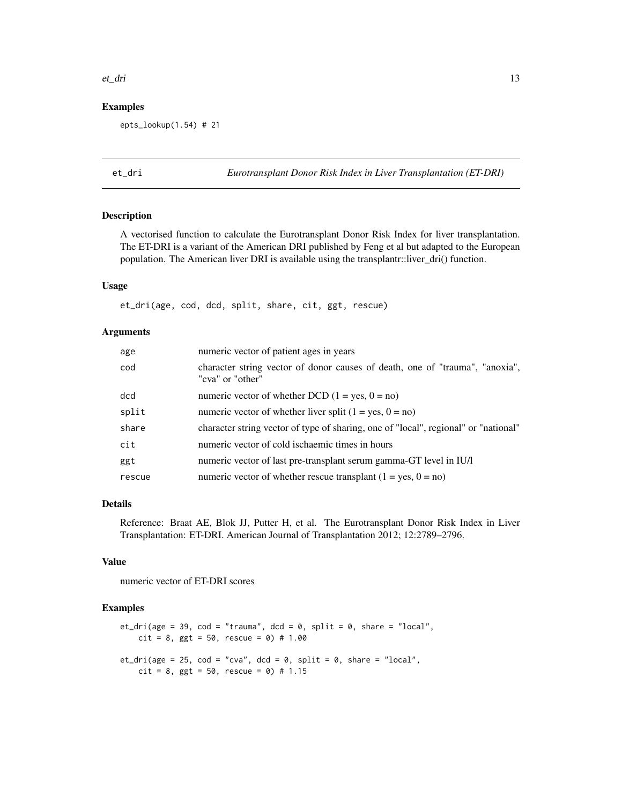#### <span id="page-12-0"></span>et\_dri 13

### Examples

epts\_lookup(1.54) # 21

et\_dri *Eurotransplant Donor Risk Index in Liver Transplantation (ET-DRI)*

#### Description

A vectorised function to calculate the Eurotransplant Donor Risk Index for liver transplantation. The ET-DRI is a variant of the American DRI published by Feng et al but adapted to the European population. The American liver DRI is available using the transplantr::liver\_dri() function.

### Usage

et\_dri(age, cod, dcd, split, share, cit, ggt, rescue)

#### **Arguments**

| age    | numeric vector of patient ages in years                                                          |
|--------|--------------------------------------------------------------------------------------------------|
| cod    | character string vector of donor causes of death, one of "trauma", "anoxia",<br>"cva" or "other" |
| dcd    | numeric vector of whether DCD $(1 = yes, 0 = no)$                                                |
| split  | numeric vector of whether liver split $(1 = yes, 0 = no)$                                        |
| share  | character string vector of type of sharing, one of "local", regional" or "national"              |
| cit    | numeric vector of cold is chaemic times in hours                                                 |
| ggt    | numeric vector of last pre-transplant serum gamma-GT level in IU/l                               |
| rescue | numeric vector of whether rescue transplant $(1 = yes, 0 = no)$                                  |

### Details

Reference: Braat AE, Blok JJ, Putter H, et al. The Eurotransplant Donor Risk Index in Liver Transplantation: ET-DRI. American Journal of Transplantation 2012; 12:2789–2796.

#### Value

numeric vector of ET-DRI scores

```
et_dri(age = 39, cod = "trauma", dcd = 0, split = 0, share = "local",
    cit = 8, ggt = 50, rescue = 0) # 1.00
et_dri(age = 25, cod = "cva", dcd = 0, split = 0, share = "local",
   cit = 8, ggt = 50, rescue = 0) # 1.15
```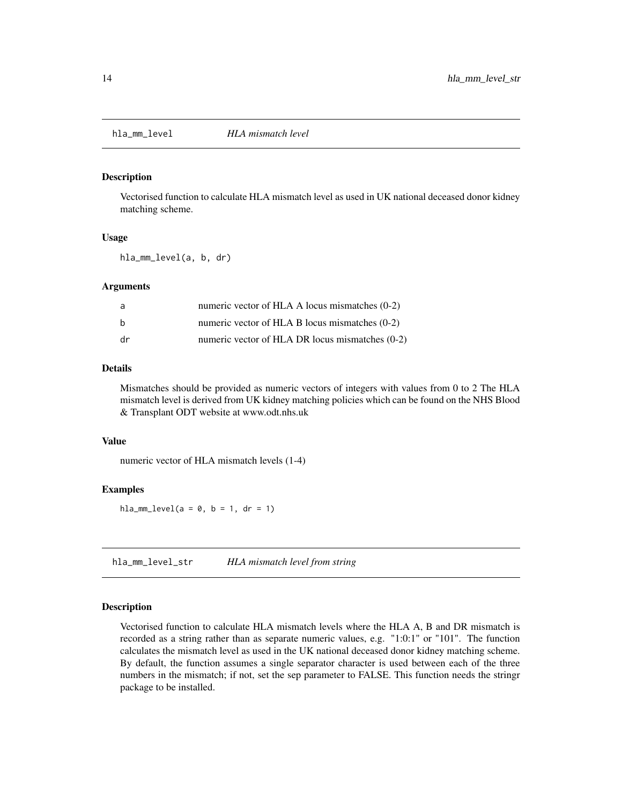<span id="page-13-0"></span>

Vectorised function to calculate HLA mismatch level as used in UK national deceased donor kidney matching scheme.

#### Usage

hla\_mm\_level(a, b, dr)

#### Arguments

| a  | numeric vector of HLA A locus mismatches (0-2)   |
|----|--------------------------------------------------|
| b  | numeric vector of HLA B locus mismatches $(0-2)$ |
| dr | numeric vector of HLA DR locus mismatches (0-2)  |

### Details

Mismatches should be provided as numeric vectors of integers with values from 0 to 2 The HLA mismatch level is derived from UK kidney matching policies which can be found on the NHS Blood & Transplant ODT website at www.odt.nhs.uk

### Value

numeric vector of HLA mismatch levels (1-4)

### Examples

 $hla_mm\_{level}(a = 0, b = 1, dr = 1)$ 

hla\_mm\_level\_str *HLA mismatch level from string*

#### Description

Vectorised function to calculate HLA mismatch levels where the HLA A, B and DR mismatch is recorded as a string rather than as separate numeric values, e.g. "1:0:1" or "101". The function calculates the mismatch level as used in the UK national deceased donor kidney matching scheme. By default, the function assumes a single separator character is used between each of the three numbers in the mismatch; if not, set the sep parameter to FALSE. This function needs the stringr package to be installed.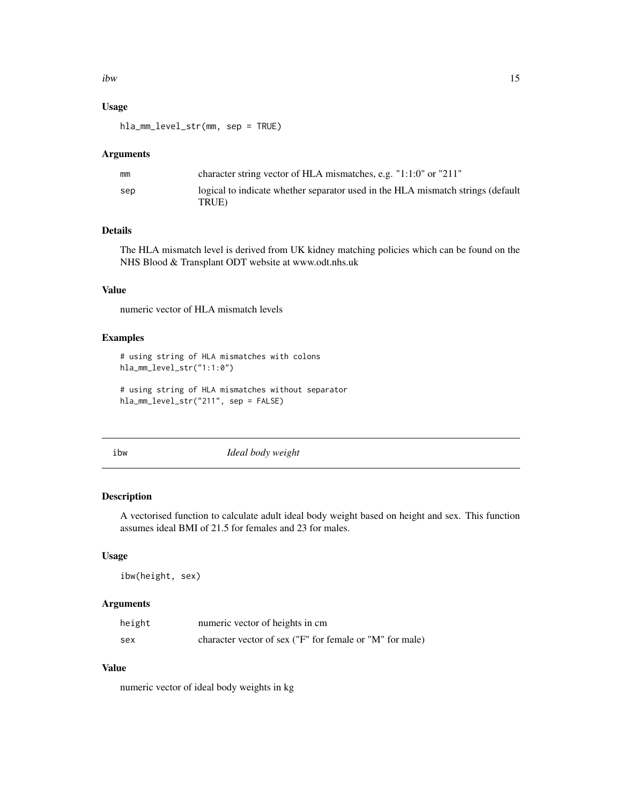### <span id="page-14-0"></span>Usage

hla\_mm\_level\_str(mm, sep = TRUE)

#### Arguments

| mm  | character string vector of HLA mismatches, e.g. $"1:1:0"$ or $"211"$                     |
|-----|------------------------------------------------------------------------------------------|
| sep | logical to indicate whether separator used in the HLA mismatch strings (default<br>TRUE) |

### Details

The HLA mismatch level is derived from UK kidney matching policies which can be found on the NHS Blood & Transplant ODT website at www.odt.nhs.uk

### Value

numeric vector of HLA mismatch levels

#### Examples

```
# using string of HLA mismatches with colons
hla_mm_level_str("1:1:0")
```

```
# using string of HLA mismatches without separator
hla_mm_level_str("211", sep = FALSE)
```
ibw *Ideal body weight*

### Description

A vectorised function to calculate adult ideal body weight based on height and sex. This function assumes ideal BMI of 21.5 for females and 23 for males.

#### Usage

ibw(height, sex)

### Arguments

| height | numeric vector of heights in cm.                         |
|--------|----------------------------------------------------------|
| sex    | character vector of sex ("F" for female or "M" for male) |

### Value

numeric vector of ideal body weights in kg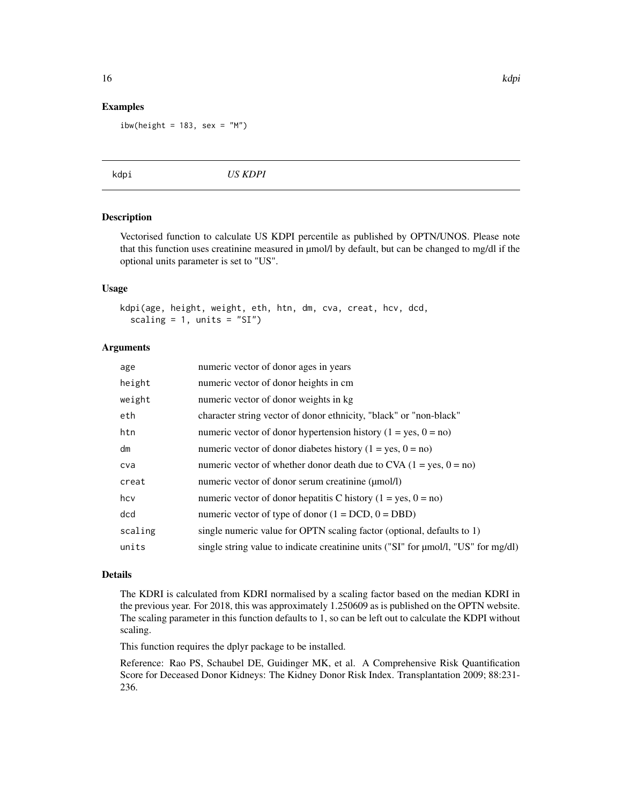#### Examples

ibw(height =  $183$ , sex = "M")

kdpi *US KDPI*

### Description

Vectorised function to calculate US KDPI percentile as published by OPTN/UNOS. Please note that this function uses creatinine measured in µmol/l by default, but can be changed to mg/dl if the optional units parameter is set to "US".

### Usage

```
kdpi(age, height, weight, eth, htn, dm, cva, creat, hcv, dcd,
  scaling = 1, units = "SI")
```
### Arguments

| single string value to indicate creatinine units ("SI" for µmol/l, "US" for mg/dl) |
|------------------------------------------------------------------------------------|
|                                                                                    |

### Details

The KDRI is calculated from KDRI normalised by a scaling factor based on the median KDRI in the previous year. For 2018, this was approximately 1.250609 as is published on the OPTN website. The scaling parameter in this function defaults to 1, so can be left out to calculate the KDPI without scaling.

This function requires the dplyr package to be installed.

Reference: Rao PS, Schaubel DE, Guidinger MK, et al. A Comprehensive Risk Quantification Score for Deceased Donor Kidneys: The Kidney Donor Risk Index. Transplantation 2009; 88:231- 236.

<span id="page-15-0"></span>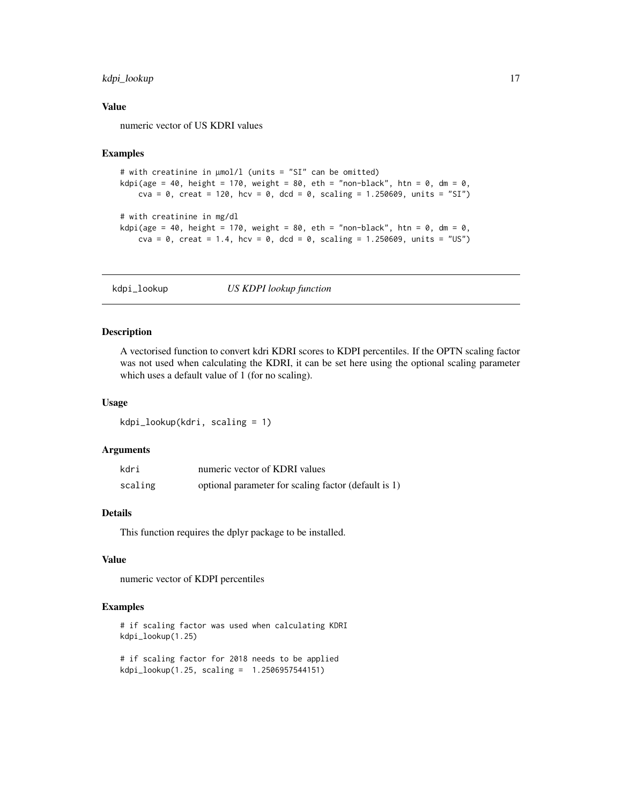### <span id="page-16-0"></span>kdpi\_lookup 17

### Value

numeric vector of US KDRI values

#### Examples

```
# with creatinine in µmol/l (units = "SI" can be omitted)
kdpi(age = 40, height = 170, weight = 80, eth = "non-black", htn = 0, dm = 0,
   cva = 0, creat = 120, hcv = 0, dcd = 0, scaling = 1.250609, units = "SI")
# with creatinine in mg/dl
kdpi(age = 40, height = 170, weight = 80, eth = "non-black", htn = 0, dm = 0,
    cva = 0, creat = 1.4, hcv = 0, dcd = 0, scaling = 1.250609, units = "US")
```
kdpi\_lookup *US KDPI lookup function*

#### Description

A vectorised function to convert kdri KDRI scores to KDPI percentiles. If the OPTN scaling factor was not used when calculating the KDRI, it can be set here using the optional scaling parameter which uses a default value of 1 (for no scaling).

#### Usage

kdpi\_lookup(kdri, scaling = 1)

#### Arguments

| kdri    | numeric vector of KDRI values                        |
|---------|------------------------------------------------------|
| scaling | optional parameter for scaling factor (default is 1) |

### Details

This function requires the dplyr package to be installed.

#### Value

numeric vector of KDPI percentiles

#### Examples

```
# if scaling factor was used when calculating KDRI
kdpi_lookup(1.25)
```
# if scaling factor for 2018 needs to be applied kdpi\_lookup(1.25, scaling = 1.2506957544151)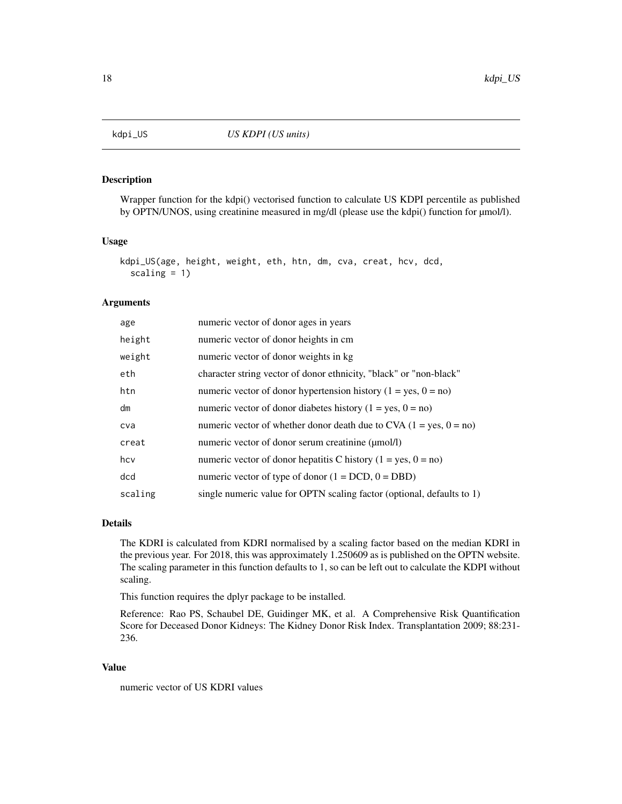<span id="page-17-0"></span>

Wrapper function for the kdpi() vectorised function to calculate US KDPI percentile as published by OPTN/UNOS, using creatinine measured in mg/dl (please use the kdpi() function for  $\mu$ mol/l).

#### Usage

```
kdpi_US(age, height, weight, eth, htn, dm, cva, creat, hcv, dcd,
  scaling = 1)
```
#### Arguments

| age     | numeric vector of donor ages in years                                  |
|---------|------------------------------------------------------------------------|
| height  | numeric vector of donor heights in cm.                                 |
| weight  | numeric vector of donor weights in kg                                  |
| eth     | character string vector of donor ethnicity, "black" or "non-black"     |
| htn     | numeric vector of donor hypertension history $(1 = yes, 0 = no)$       |
| dm      | numeric vector of donor diabetes history $(1 = yes, 0 = no)$           |
| cva     | numeric vector of whether donor death due to CVA $(1 = yes, 0 = no)$   |
| creat   | numeric vector of donor serum creatinine (µmol/l)                      |
| hcv     | numeric vector of donor hepatitis C history ( $1 = yes$ , $0 = no$ )   |
| dcd     | numeric vector of type of donor $(1 = DCD, 0 = DBD)$                   |
| scaling | single numeric value for OPTN scaling factor (optional, defaults to 1) |

### Details

The KDRI is calculated from KDRI normalised by a scaling factor based on the median KDRI in the previous year. For 2018, this was approximately 1.250609 as is published on the OPTN website. The scaling parameter in this function defaults to 1, so can be left out to calculate the KDPI without scaling.

This function requires the dplyr package to be installed.

Reference: Rao PS, Schaubel DE, Guidinger MK, et al. A Comprehensive Risk Quantification Score for Deceased Donor Kidneys: The Kidney Donor Risk Index. Transplantation 2009; 88:231- 236.

#### Value

numeric vector of US KDRI values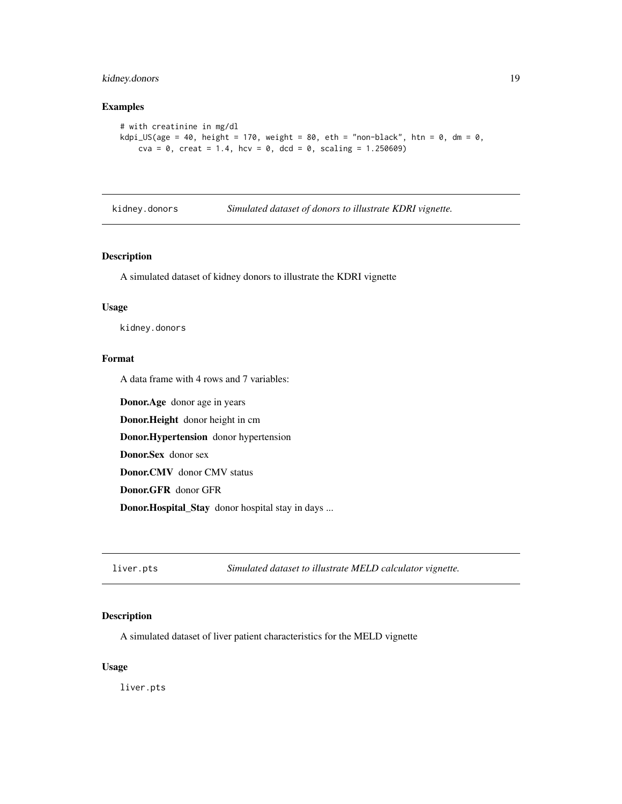### <span id="page-18-0"></span>kidney.donors 19

### Examples

```
# with creatinine in mg/dl
kdpi_US(age = 40, height = 170, weight = 80, eth = "non-black", htn = 0, dm = 0,
    cva = 0, creat = 1.4, hcv = 0, dcd = 0, scaling = 1.250609)
```
kidney.donors *Simulated dataset of donors to illustrate KDRI vignette.*

### Description

A simulated dataset of kidney donors to illustrate the KDRI vignette

### Usage

kidney.donors

### Format

A data frame with 4 rows and 7 variables:

Donor.Age donor age in years Donor.Height donor height in cm Donor.Hypertension donor hypertension Donor.Sex donor sex Donor.CMV donor CMV status Donor.GFR donor GFR Donor.Hospital\_Stay donor hospital stay in days ...

liver.pts *Simulated dataset to illustrate MELD calculator vignette.*

### Description

A simulated dataset of liver patient characteristics for the MELD vignette

#### Usage

liver.pts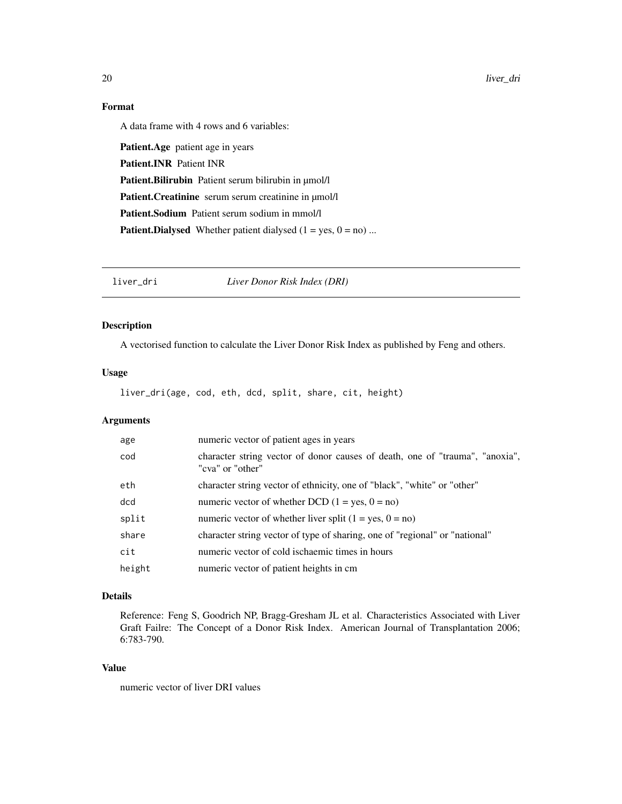### <span id="page-19-0"></span>Format

A data frame with 4 rows and 6 variables:

Patient.Age patient age in years Patient.INR Patient INR Patient.Bilirubin Patient serum bilirubin in µmol/l Patient.Creatinine serum serum creatinine in µmol/l Patient.Sodium Patient serum sodium in mmol/l **Patient.Dialysed** Whether patient dialysed  $(1 = yes, 0 = no)$  ...

liver\_dri *Liver Donor Risk Index (DRI)*

### Description

A vectorised function to calculate the Liver Donor Risk Index as published by Feng and others.

### Usage

liver\_dri(age, cod, eth, dcd, split, share, cit, height)

### Arguments

| age    | numeric vector of patient ages in years                                                          |
|--------|--------------------------------------------------------------------------------------------------|
| cod    | character string vector of donor causes of death, one of "trauma", "anoxia",<br>"cva" or "other" |
| eth    | character string vector of ethnicity, one of "black", "white" or "other"                         |
| dcd    | numeric vector of whether DCD $(1 = yes, 0 = no)$                                                |
| split  | numeric vector of whether liver split $(1 = yes, 0 = no)$                                        |
| share  | character string vector of type of sharing, one of "regional" or "national"                      |
| cit    | numeric vector of cold is chaemic times in hours                                                 |
| height | numeric vector of patient heights in cm                                                          |

### Details

Reference: Feng S, Goodrich NP, Bragg-Gresham JL et al. Characteristics Associated with Liver Graft Failre: The Concept of a Donor Risk Index. American Journal of Transplantation 2006; 6:783-790.

### Value

numeric vector of liver DRI values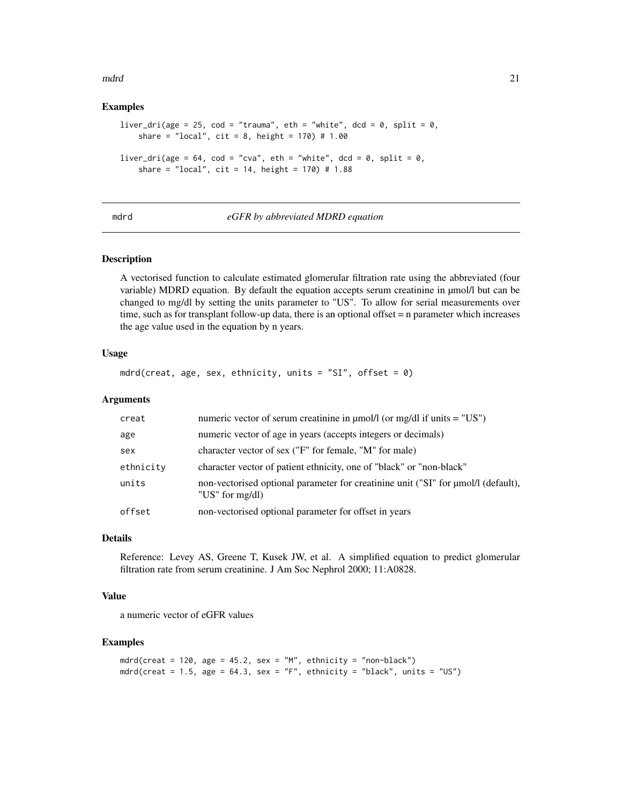<span id="page-20-0"></span>mdrd 21

#### Examples

```
liver_dri(age = 25, cod = "trauma", eth = "white", dcd = 0, split = 0,
    share = "local", cit = 8, height = 170) # 1.00
liver_dri(age = 64, cod = "cva", eth = "white", dcd = 0, split = 0,
    share = "local", cit = 14, height = 170) # 1.88
```
mdrd *eGFR by abbreviated MDRD equation*

#### Description

A vectorised function to calculate estimated glomerular filtration rate using the abbreviated (four variable) MDRD equation. By default the equation accepts serum creatinine in  $\mu$ mol/l but can be changed to mg/dl by setting the units parameter to "US". To allow for serial measurements over time, such as for transplant follow-up data, there is an optional offset = n parameter which increases the age value used in the equation by n years.

### Usage

```
mdrd(creat, age, sex, ethnicity, units = "SI", offset = \emptyset)
```
#### Arguments

| creat     | numeric vector of serum creatinine in $\mu$ mol/l (or mg/dl if units = "US")                                 |
|-----------|--------------------------------------------------------------------------------------------------------------|
| age       | numeric vector of age in years (accepts integers or decimals)                                                |
| sex       | character vector of sex ("F" for female, "M" for male)                                                       |
| ethnicity | character vector of patient ethnicity, one of "black" or "non-black"                                         |
| units     | non-vectorised optional parameter for creatinine unit ("SI" for $\mu$ mol/l (default),<br>"US" for $mg/dl$ ) |
| offset    | non-vectorised optional parameter for offset in years                                                        |

#### Details

Reference: Levey AS, Greene T, Kusek JW, et al. A simplified equation to predict glomerular filtration rate from serum creatinine. J Am Soc Nephrol 2000; 11:A0828.

#### Value

a numeric vector of eGFR values

```
mdrd(creat = 120, age = 45.2, sex = "M", ethnicity = "non-black")
mdrd(creat = 1.5, age = 64.3, sex = "F", ethnicity = "black", units = "US")
```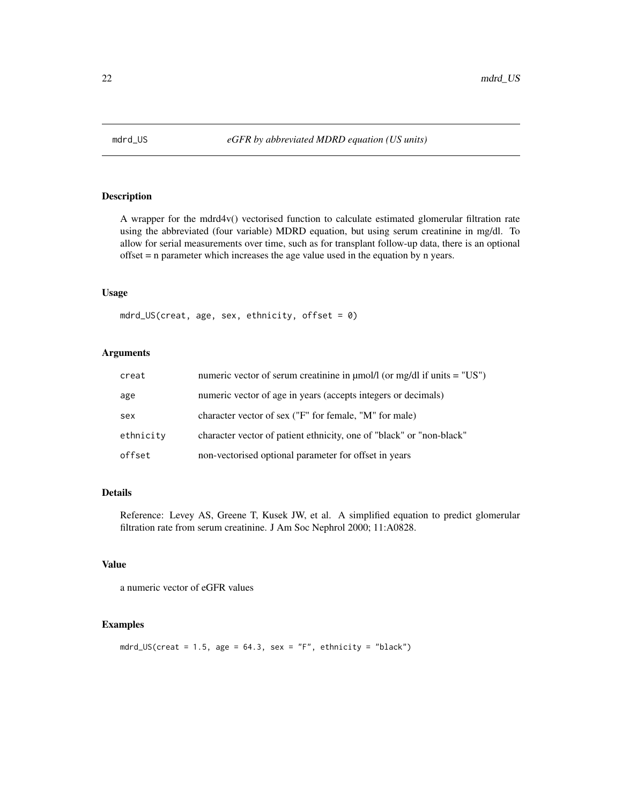<span id="page-21-0"></span>

A wrapper for the mdrd4v() vectorised function to calculate estimated glomerular filtration rate using the abbreviated (four variable) MDRD equation, but using serum creatinine in mg/dl. To allow for serial measurements over time, such as for transplant follow-up data, there is an optional offset = n parameter which increases the age value used in the equation by n years.

#### Usage

mdrd\_US(creat, age, sex, ethnicity, offset =  $\theta$ )

### Arguments

| creat     | numeric vector of serum creatinine in $\mu$ mol/l (or mg/dl if units = "US") |
|-----------|------------------------------------------------------------------------------|
| age       | numeric vector of age in years (accepts integers or decimals)                |
| sex       | character vector of sex ("F" for female, "M" for male)                       |
| ethnicity | character vector of patient ethnicity, one of "black" or "non-black"         |
| offset    | non-vectorised optional parameter for offset in years                        |

### Details

Reference: Levey AS, Greene T, Kusek JW, et al. A simplified equation to predict glomerular filtration rate from serum creatinine. J Am Soc Nephrol 2000; 11:A0828.

### Value

a numeric vector of eGFR values

### Examples

mdrd\_US(creat =  $1.5$ , age =  $64.3$ , sex = "F", ethnicity = "black")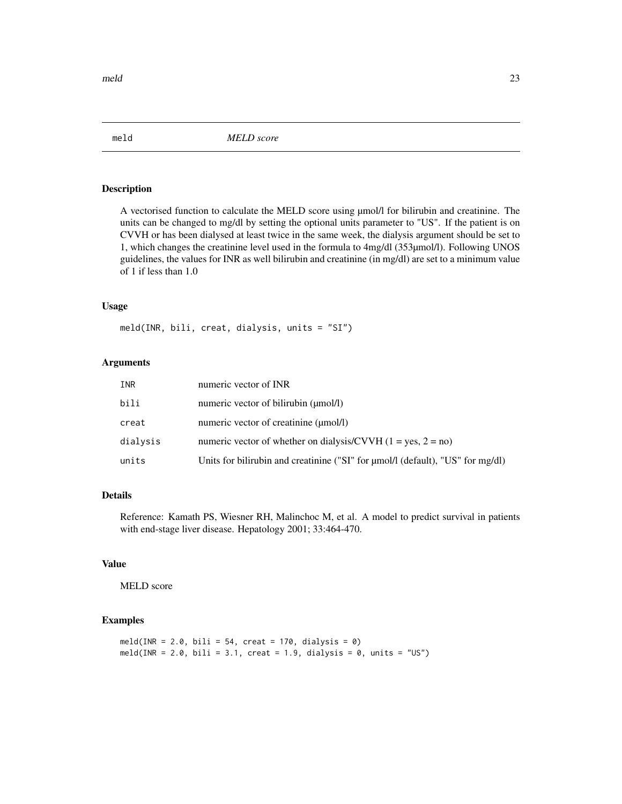<span id="page-22-0"></span>

A vectorised function to calculate the MELD score using µmol/l for bilirubin and creatinine. The units can be changed to mg/dl by setting the optional units parameter to "US". If the patient is on CVVH or has been dialysed at least twice in the same week, the dialysis argument should be set to 1, which changes the creatinine level used in the formula to 4mg/dl (353µmol/l). Following UNOS guidelines, the values for INR as well bilirubin and creatinine (in mg/dl) are set to a minimum value of 1 if less than 1.0

### Usage

meld(INR, bili, creat, dialysis, units = "SI")

### Arguments

| INR      | numeric vector of INR                                                          |
|----------|--------------------------------------------------------------------------------|
| bili     | numeric vector of bilirubin (umol/l)                                           |
| creat    | numeric vector of creatinine (µmol/l)                                          |
| dialysis | numeric vector of whether on dialysis/CVVH $(1 = yes, 2 = no)$                 |
| units    | Units for bilirubin and creatinine ("SI" for µmol/l (default), "US" for mg/dl) |

#### Details

Reference: Kamath PS, Wiesner RH, Malinchoc M, et al. A model to predict survival in patients with end-stage liver disease. Hepatology 2001; 33:464-470.

### Value

MELD score

```
meld(INR = 2.0, bili = 54, creat = 170, dialysis = 0)
meld(INR = 2.0, bili = 3.1, creat = 1.9, dialysis = 0, units = "US")
```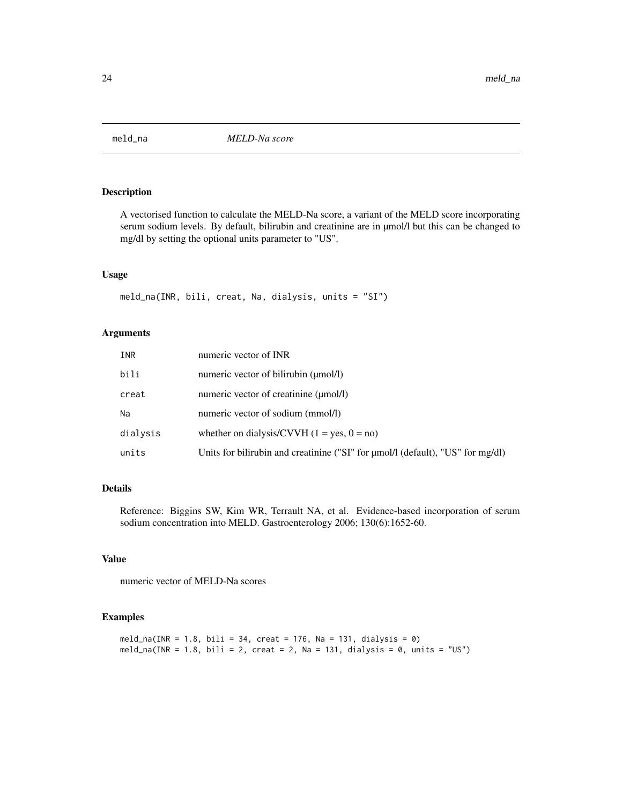<span id="page-23-0"></span>

A vectorised function to calculate the MELD-Na score, a variant of the MELD score incorporating serum sodium levels. By default, bilirubin and creatinine are in µmol/l but this can be changed to mg/dl by setting the optional units parameter to "US".

### Usage

meld\_na(INR, bili, creat, Na, dialysis, units = "SI")

### Arguments

| INR      | numeric vector of INR                                                          |
|----------|--------------------------------------------------------------------------------|
| bili     | numeric vector of bilirubin (µmol/l)                                           |
| creat    | numeric vector of creatinine (µmol/l)                                          |
| Na       | numeric vector of sodium (mmol/l)                                              |
| dialysis | whether on dialysis/CVVH $(1 = yes, 0 = no)$                                   |
| units    | Units for bilirubin and creatinine ("SI" for µmol/l (default), "US" for mg/dl) |

### Details

Reference: Biggins SW, Kim WR, Terrault NA, et al. Evidence-based incorporation of serum sodium concentration into MELD. Gastroenterology 2006; 130(6):1652-60.

### Value

numeric vector of MELD-Na scores

```
meld_na(INR = 1.8, bili = 34, creat = 176, Na = 131, dialysis = 0)
meld_na(INR = 1.8, bili = 2, creat = 2, Na = 131, dialysis = 0, units = "US")
```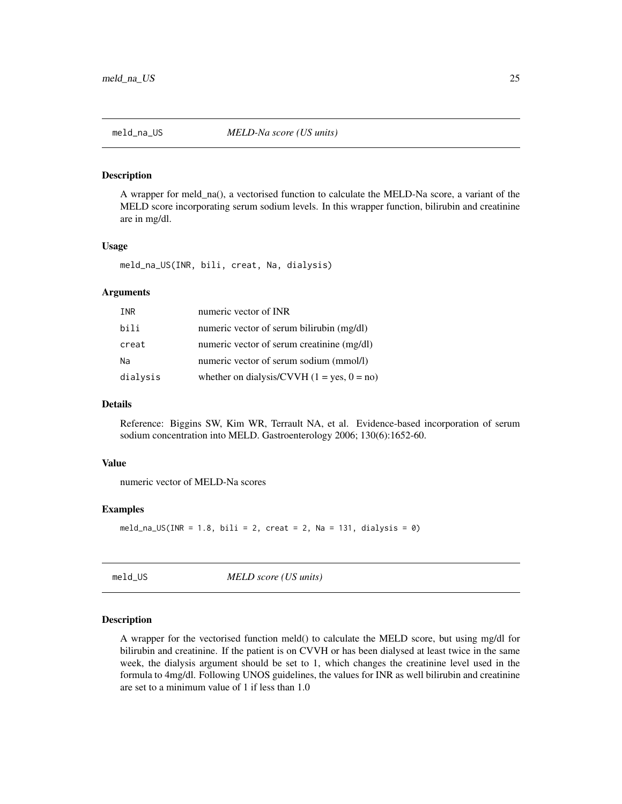<span id="page-24-0"></span>

A wrapper for meld\_na(), a vectorised function to calculate the MELD-Na score, a variant of the MELD score incorporating serum sodium levels. In this wrapper function, bilirubin and creatinine are in mg/dl.

### Usage

meld\_na\_US(INR, bili, creat, Na, dialysis)

#### Arguments

| INR      | numeric vector of INR                        |
|----------|----------------------------------------------|
| bili     | numeric vector of serum bilirubin (mg/dl)    |
| creat    | numeric vector of serum creatinine (mg/dl)   |
| Na       | numeric vector of serum sodium (mmol/l)      |
| dialysis | whether on dialysis/CVVH $(1 = yes, 0 = no)$ |

#### Details

Reference: Biggins SW, Kim WR, Terrault NA, et al. Evidence-based incorporation of serum sodium concentration into MELD. Gastroenterology 2006; 130(6):1652-60.

#### Value

numeric vector of MELD-Na scores

### Examples

```
meld_na_US(INR = 1.8, bili = 2, creat = 2, Na = 131, dialysis = 0)
```
meld\_US *MELD score (US units)*

### Description

A wrapper for the vectorised function meld() to calculate the MELD score, but using mg/dl for bilirubin and creatinine. If the patient is on CVVH or has been dialysed at least twice in the same week, the dialysis argument should be set to 1, which changes the creatinine level used in the formula to 4mg/dl. Following UNOS guidelines, the values for INR as well bilirubin and creatinine are set to a minimum value of 1 if less than 1.0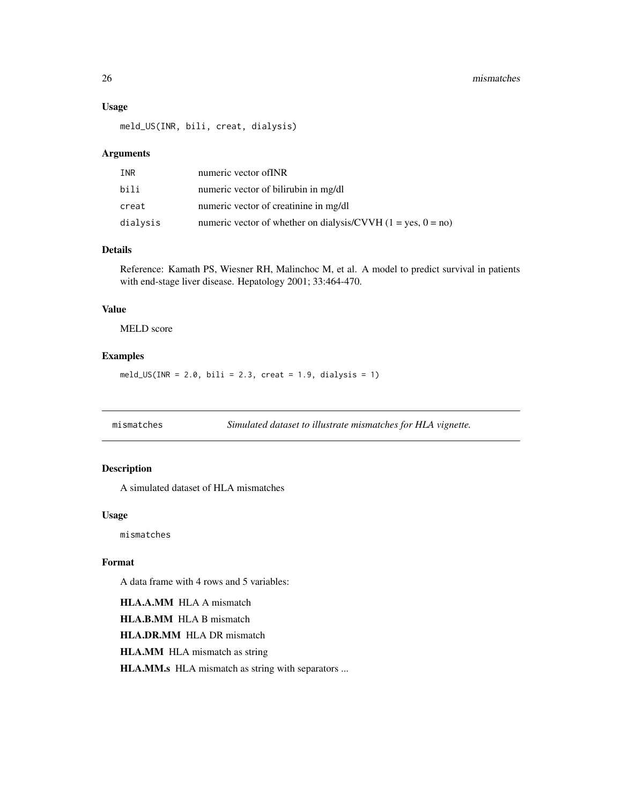### <span id="page-25-0"></span>Usage

meld\_US(INR, bili, creat, dialysis)

### Arguments

| INR      | numeric vector of INR                                          |
|----------|----------------------------------------------------------------|
| bili     | numeric vector of bilirubin in mg/dl                           |
| creat    | numeric vector of creatinine in mg/dl                          |
| dialysis | numeric vector of whether on dialysis/CVVH $(1 = yes, 0 = no)$ |

### Details

Reference: Kamath PS, Wiesner RH, Malinchoc M, et al. A model to predict survival in patients with end-stage liver disease. Hepatology 2001; 33:464-470.

### Value

MELD score

### Examples

 $meld_US(INR = 2.0, bili = 2.3, creat = 1.9, dialysis = 1)$ 

mismatches *Simulated dataset to illustrate mismatches for HLA vignette.*

### Description

A simulated dataset of HLA mismatches

### Usage

mismatches

#### Format

A data frame with 4 rows and 5 variables:

HLA.A.MM HLA A mismatch HLA.B.MM HLA B mismatch

HLA.DR.MM HLA DR mismatch

HLA.MM HLA mismatch as string

HLA.MM.s HLA mismatch as string with separators ...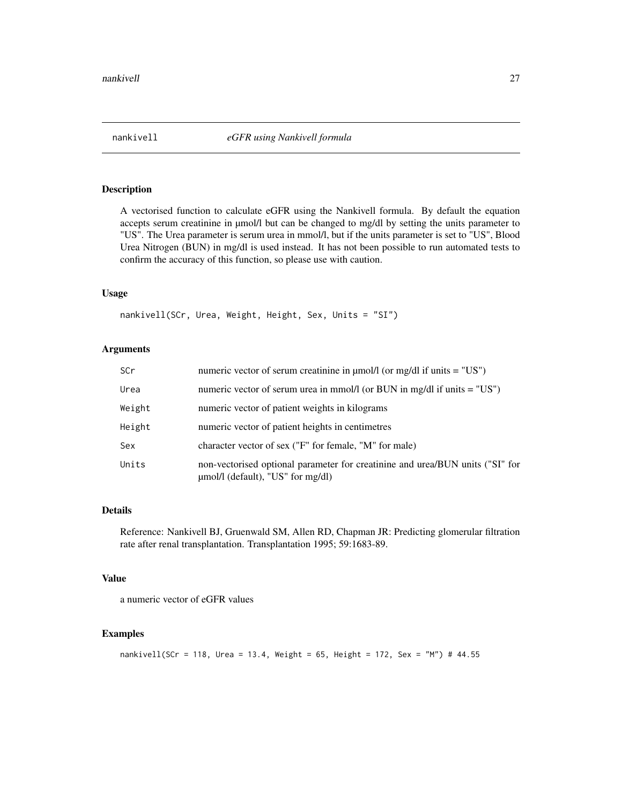<span id="page-26-0"></span>

A vectorised function to calculate eGFR using the Nankivell formula. By default the equation accepts serum creatinine in µmol/l but can be changed to mg/dl by setting the units parameter to "US". The Urea parameter is serum urea in mmol/l, but if the units parameter is set to "US", Blood Urea Nitrogen (BUN) in mg/dl is used instead. It has not been possible to run automated tests to confirm the accuracy of this function, so please use with caution.

#### Usage

nankivell(SCr, Urea, Weight, Height, Sex, Units = "SI")

### Arguments

| <b>SCr</b> | numeric vector of serum creatinine in $\mu$ mol/l (or mg/dl if units = "US")                                            |
|------------|-------------------------------------------------------------------------------------------------------------------------|
| Urea       | numeric vector of serum urea in mmol/l (or BUN in mg/dl if units $=$ "US")                                              |
| Weight     | numeric vector of patient weights in kilograms                                                                          |
| Height     | numeric vector of patient heights in centimetres                                                                        |
| Sex        | character vector of sex ("F" for female, "M" for male)                                                                  |
| Units      | non-vectorised optional parameter for creatinine and urea/BUN units ("SI" for<br>$\mu$ mol/l (default), "US" for mg/dl) |

### Details

Reference: Nankivell BJ, Gruenwald SM, Allen RD, Chapman JR: Predicting glomerular filtration rate after renal transplantation. Transplantation 1995; 59:1683-89.

#### Value

a numeric vector of eGFR values

```
nankivell(SCr = 118, Urea = 13.4, Weight = 65, Height = 172, Sex = "M") # 44.55
```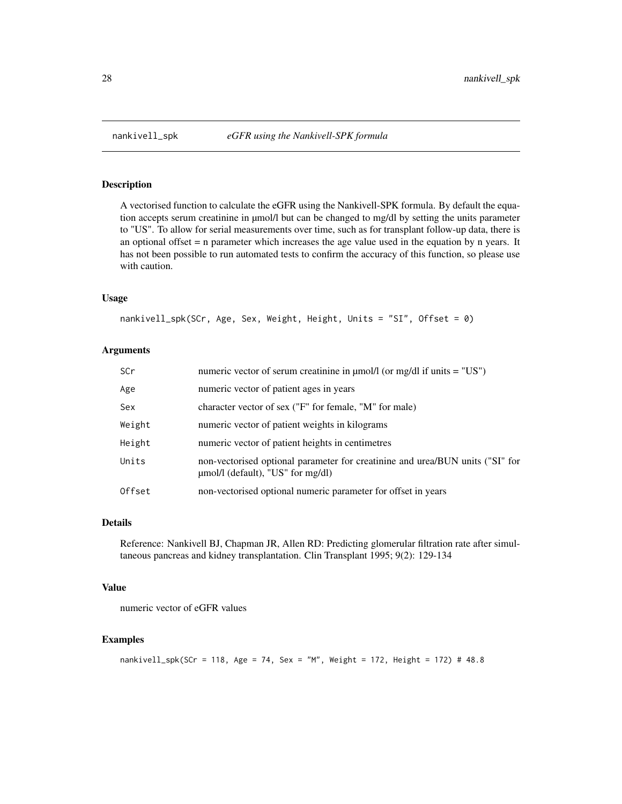A vectorised function to calculate the eGFR using the Nankivell-SPK formula. By default the equation accepts serum creatinine in µmol/l but can be changed to mg/dl by setting the units parameter to "US". To allow for serial measurements over time, such as for transplant follow-up data, there is an optional offset = n parameter which increases the age value used in the equation by n years. It has not been possible to run automated tests to confirm the accuracy of this function, so please use with caution.

#### Usage

```
nankivell_spk(SCr, Age, Sex, Weight, Height, Units = "SI", Offset = 0)
```
### Arguments

| <b>SCr</b> | numeric vector of serum creatinine in $\mu$ mol/l (or mg/dl if units = "US")                                            |
|------------|-------------------------------------------------------------------------------------------------------------------------|
| Age        | numeric vector of patient ages in years                                                                                 |
| Sex        | character vector of sex ("F" for female, "M" for male)                                                                  |
| Weight     | numeric vector of patient weights in kilograms                                                                          |
| Height     | numeric vector of patient heights in centimetres                                                                        |
| Units      | non-vectorised optional parameter for creatinine and urea/BUN units ("SI" for<br>$\mu$ mol/l (default), "US" for mg/dl) |
| Offset     | non-vectorised optional numeric parameter for offset in years                                                           |

#### Details

Reference: Nankivell BJ, Chapman JR, Allen RD: Predicting glomerular filtration rate after simultaneous pancreas and kidney transplantation. Clin Transplant 1995; 9(2): 129-134

### Value

numeric vector of eGFR values

```
nankivell_spk(SCr = 118, Age = 74, Sex = "M", Weight = 172, Height = 172) # 48.8
```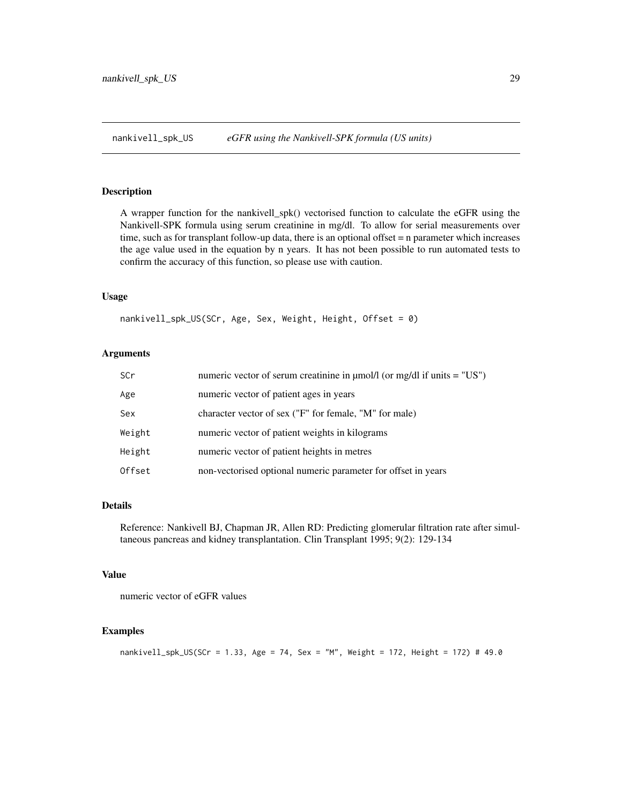<span id="page-28-0"></span>nankivell\_spk\_US *eGFR using the Nankivell-SPK formula (US units)*

#### Description

A wrapper function for the nankivell\_spk() vectorised function to calculate the eGFR using the Nankivell-SPK formula using serum creatinine in mg/dl. To allow for serial measurements over time, such as for transplant follow-up data, there is an optional offset = n parameter which increases the age value used in the equation by n years. It has not been possible to run automated tests to confirm the accuracy of this function, so please use with caution.

#### Usage

nankivell\_spk\_US(SCr, Age, Sex, Weight, Height, Offset = 0)

#### Arguments

| SCr    | numeric vector of serum creatinine in $\mu$ mol/l (or mg/dl if units = "US") |
|--------|------------------------------------------------------------------------------|
| Age    | numeric vector of patient ages in years                                      |
| Sex    | character vector of sex ("F" for female, "M" for male)                       |
| Weight | numeric vector of patient weights in kilograms                               |
| Height | numeric vector of patient heights in metres                                  |
| Offset | non-vectorised optional numeric parameter for offset in years                |

#### Details

Reference: Nankivell BJ, Chapman JR, Allen RD: Predicting glomerular filtration rate after simultaneous pancreas and kidney transplantation. Clin Transplant 1995; 9(2): 129-134

### Value

numeric vector of eGFR values

```
nankivell_spk_US(SCr = 1.33, Age = 74, Sex = "M", Weight = 172, Height = 172) # 49.0
```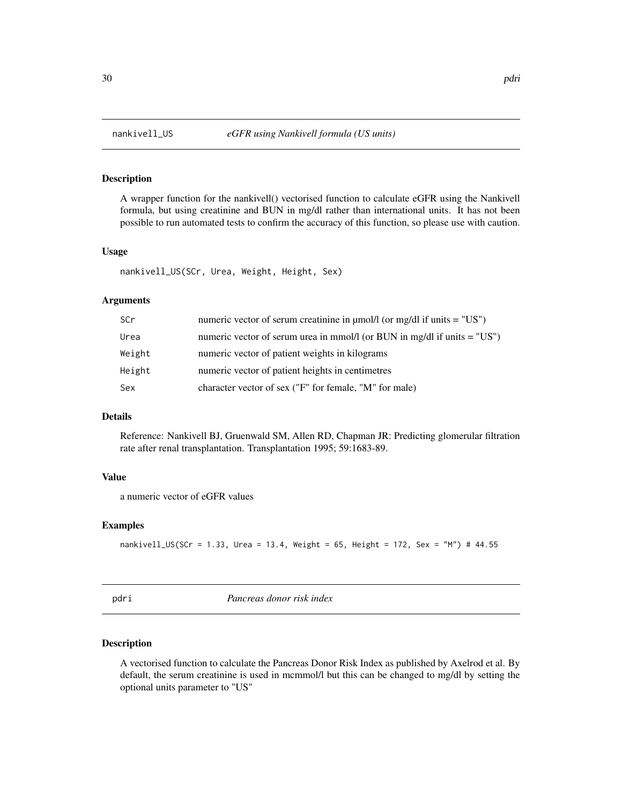A wrapper function for the nankivell() vectorised function to calculate eGFR using the Nankivell formula, but using creatinine and BUN in mg/dl rather than international units. It has not been possible to run automated tests to confirm the accuracy of this function, so please use with caution.

#### Usage

nankivell\_US(SCr, Urea, Weight, Height, Sex)

### Arguments

| SCr    | numeric vector of serum creatinine in $\mu$ mol/l (or mg/dl if units = "US") |
|--------|------------------------------------------------------------------------------|
| Urea   | numeric vector of serum urea in mmol/l (or BUN in mg/dl if units $=$ "US")   |
| Weight | numeric vector of patient weights in kilograms                               |
| Height | numeric vector of patient heights in centimetres                             |
| Sex    | character vector of sex ("F" for female, "M" for male)                       |

### Details

Reference: Nankivell BJ, Gruenwald SM, Allen RD, Chapman JR: Predicting glomerular filtration rate after renal transplantation. Transplantation 1995; 59:1683-89.

#### Value

a numeric vector of eGFR values

### Examples

```
nankivell_US(SCr = 1.33, Urea = 13.4, Weight = 65, Height = 172, Sex = "M") # 44.55
```
pdri *Pancreas donor risk index*

#### Description

A vectorised function to calculate the Pancreas Donor Risk Index as published by Axelrod et al. By default, the serum creatinine is used in mcmmol/l but this can be changed to mg/dl by setting the optional units parameter to "US"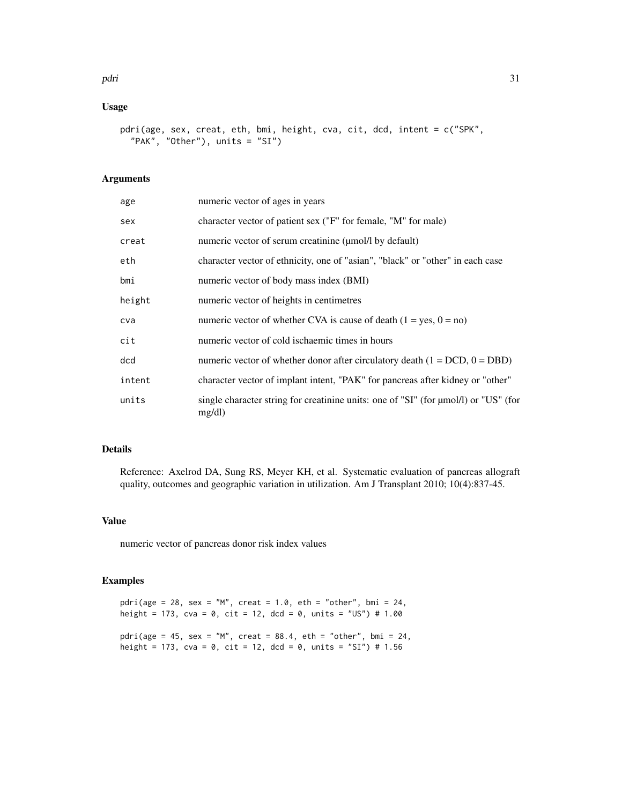### pdri 31

### Usage

```
pdri(age, sex, creat, eth, bmi, height, cva, cit, dcd, intent = c("SPK",
  "PAK", "Other"), units = "SI")
```
### Arguments

| age    | numeric vector of ages in years                                                                   |
|--------|---------------------------------------------------------------------------------------------------|
| sex    | character vector of patient sex ("F" for female, "M" for male)                                    |
| creat  | numeric vector of serum creatinine (umol/l by default)                                            |
| eth    | character vector of ethnicity, one of "asian", "black" or "other" in each case                    |
| bmi    | numeric vector of body mass index (BMI)                                                           |
| height | numeric vector of heights in centimetres                                                          |
| cva    | numeric vector of whether CVA is cause of death $(1 = yes, 0 = no)$                               |
| cit    | numeric vector of cold is chaemic times in hours                                                  |
| dcd    | numeric vector of whether donor after circulatory death $(1 = DCD, 0 = DBD)$                      |
| intent | character vector of implant intent, "PAK" for pancreas after kidney or "other"                    |
| units  | single character string for creatinine units: one of "SI" (for $\mu$ mol/l) or "US" (for<br>mg/dl |

### Details

Reference: Axelrod DA, Sung RS, Meyer KH, et al. Systematic evaluation of pancreas allograft quality, outcomes and geographic variation in utilization. Am J Transplant 2010; 10(4):837-45.

### Value

numeric vector of pancreas donor risk index values

### Examples

pdri(age = 28, sex = "M", creat = 1.0, eth = "other", bmi = 24, height = 173, cva = 0, cit = 12, dcd = 0, units = "US") # 1.00

pdri(age = 45, sex = "M", creat =  $88.4$ , eth = "other", bmi = 24, height = 173, cva = 0, cit = 12, dcd = 0, units = "SI") # 1.56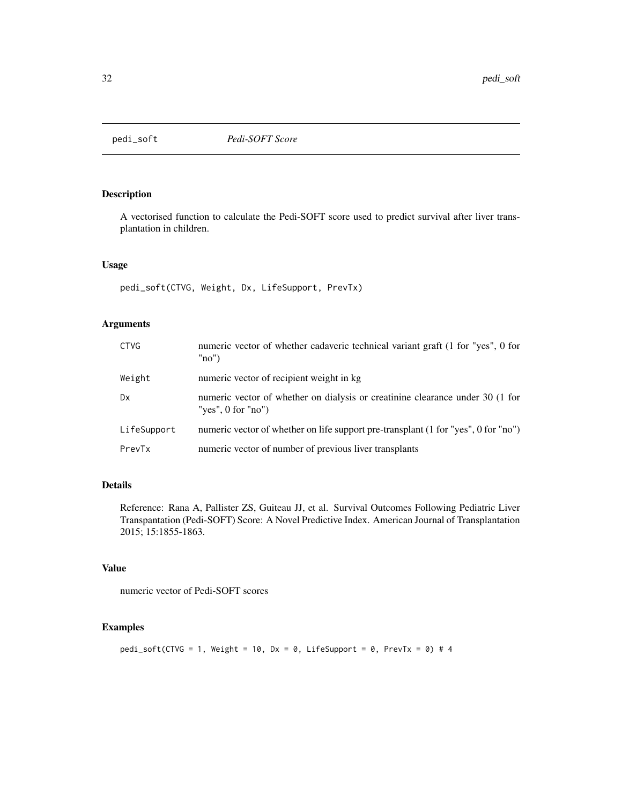<span id="page-31-0"></span>

A vectorised function to calculate the Pedi-SOFT score used to predict survival after liver transplantation in children.

### Usage

pedi\_soft(CTVG, Weight, Dx, LifeSupport, PrevTx)

### Arguments

| <b>CTVG</b> | numeric vector of whether cadaveric technical variant graft (1 for "yes", 0 for<br>"no"               |
|-------------|-------------------------------------------------------------------------------------------------------|
| Weight      | numeric vector of recipient weight in kg                                                              |
| Dx          | numeric vector of whether on dialysis or creatinine clearance under 30 (1 for<br>"yes", $0$ for "no") |
| LifeSupport | numeric vector of whether on life support pre-transplant (1 for "yes", 0 for "no")                    |
| PrevTx      | numeric vector of number of previous liver transplants                                                |

### Details

Reference: Rana A, Pallister ZS, Guiteau JJ, et al. Survival Outcomes Following Pediatric Liver Transpantation (Pedi-SOFT) Score: A Novel Predictive Index. American Journal of Transplantation 2015; 15:1855-1863.

### Value

numeric vector of Pedi-SOFT scores

### Examples

pedi\_soft(CTVG = 1, Weight = 10, Dx = 0, LifeSupport = 0, PrevTx = 0) # 4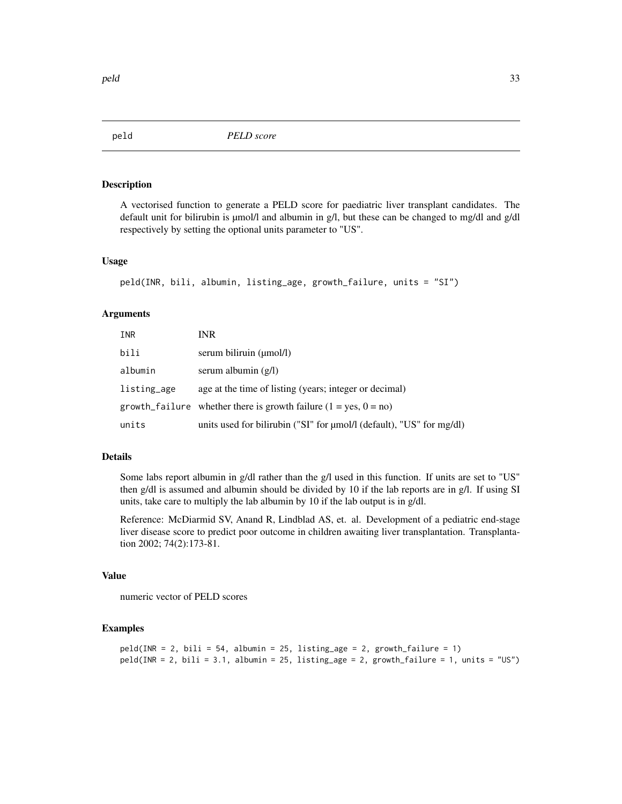<span id="page-32-0"></span>

A vectorised function to generate a PELD score for paediatric liver transplant candidates. The default unit for bilirubin is µmol/l and albumin in g/l, but these can be changed to mg/dl and g/dl respectively by setting the optional units parameter to "US".

#### Usage

```
peld(INR, bili, albumin, listing_age, growth_failure, units = "SI")
```
#### Arguments

| INR         | <b>INR</b>                                                                |
|-------------|---------------------------------------------------------------------------|
| bili        | serum biliruin (umol/l)                                                   |
| albumin     | serum albumin $(g/l)$                                                     |
| listing_age | age at the time of listing (years; integer or decimal)                    |
|             | growth_failure whether there is growth failure $(1 = yes, 0 = no)$        |
| units       | units used for bilirubin ("SI" for $\mu$ mol/l (default), "US" for mg/dl) |

### Details

Some labs report albumin in g/dl rather than the g/l used in this function. If units are set to "US" then g/dl is assumed and albumin should be divided by 10 if the lab reports are in g/l. If using SI units, take care to multiply the lab albumin by 10 if the lab output is in g/dl.

Reference: McDiarmid SV, Anand R, Lindblad AS, et. al. Development of a pediatric end-stage liver disease score to predict poor outcome in children awaiting liver transplantation. Transplantation 2002; 74(2):173-81.

#### Value

numeric vector of PELD scores

```
peld(INR = 2, bili = 54, albumin = 25, listing_age = 2, growth_failure = 1)peld(INR = 2, bili = 3.1, albumin = 25, listing_age = 2, growth_failure = 1, units = "US")
```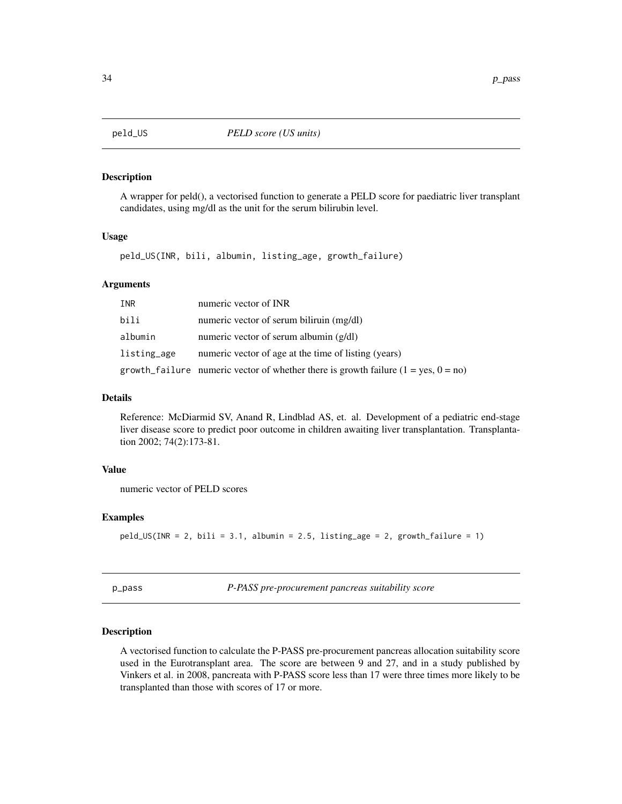<span id="page-33-0"></span>

A wrapper for peld(), a vectorised function to generate a PELD score for paediatric liver transplant candidates, using mg/dl as the unit for the serum bilirubin level.

#### Usage

peld\_US(INR, bili, albumin, listing\_age, growth\_failure)

### Arguments

| INR         | numeric vector of INR                                                                |
|-------------|--------------------------------------------------------------------------------------|
| bili        | numeric vector of serum biliruin (mg/dl)                                             |
| albumin     | numeric vector of serum albumin $(g/dl)$                                             |
| listing_age | numeric vector of age at the time of listing (years)                                 |
|             | growth_failure numeric vector of whether there is growth failure $(1 = yes, 0 = no)$ |

### Details

Reference: McDiarmid SV, Anand R, Lindblad AS, et. al. Development of a pediatric end-stage liver disease score to predict poor outcome in children awaiting liver transplantation. Transplantation 2002; 74(2):173-81.

### Value

numeric vector of PELD scores

#### Examples

peld\_US(INR = 2, bili = 3.1, albumin = 2.5, listing\_age = 2, growth\_failure = 1)

p\_pass *P-PASS pre-procurement pancreas suitability score*

### **Description**

A vectorised function to calculate the P-PASS pre-procurement pancreas allocation suitability score used in the Eurotransplant area. The score are between 9 and 27, and in a study published by Vinkers et al. in 2008, pancreata with P-PASS score less than 17 were three times more likely to be transplanted than those with scores of 17 or more.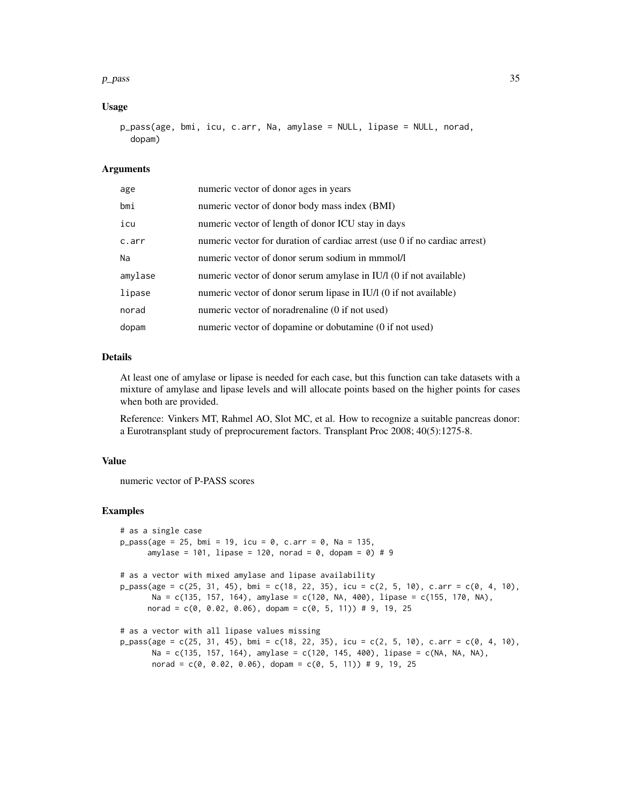#### $p_{\perp}$  pass 35

#### Usage

```
p_pass(age, bmi, icu, c.arr, Na, amylase = NULL, lipase = NULL, norad,
 dopam)
```
#### Arguments

| age     | numeric vector of donor ages in years                                      |
|---------|----------------------------------------------------------------------------|
| bmi     | numeric vector of donor body mass index (BMI)                              |
| icu     | numeric vector of length of donor ICU stay in days                         |
| c.arr   | numeric vector for duration of cardiac arrest (use 0 if no cardiac arrest) |
| Na      | numeric vector of donor serum sodium in mmmol/l                            |
| amylase | numeric vector of donor serum amylase in IU/l (0 if not available)         |
| lipase  | numeric vector of donor serum lipase in IU/l (0 if not available)          |
| norad   | numeric vector of noradrenaline (0 if not used)                            |
| dopam   | numeric vector of dopamine or dobutamine (0 if not used)                   |

### Details

At least one of amylase or lipase is needed for each case, but this function can take datasets with a mixture of amylase and lipase levels and will allocate points based on the higher points for cases when both are provided.

Reference: Vinkers MT, Rahmel AO, Slot MC, et al. How to recognize a suitable pancreas donor: a Eurotransplant study of preprocurement factors. Transplant Proc 2008; 40(5):1275-8.

#### Value

numeric vector of P-PASS scores

```
# as a single case
p_pass(age = 25, bmi = 19, icu = 0, c.arr = 0, Na = 135,
      amylase = 101, lipase = 120, norad = 0, dopam = 0) # 9
# as a vector with mixed amylase and lipase availability
p_pass(age = c(25, 31, 45), bmi = c(18, 22, 35), icu = c(2, 5, 10), c.arr = c(0, 4, 10),
      Na = c(135, 157, 164), amylase = c(120, NA, 400), lipase = c(155, 170, NA),
     norad = c(0, 0.02, 0.06), dopam = c(0, 5, 11)) # 9, 19, 25
# as a vector with all lipase values missing
p_{pass(age = c(25, 31, 45), bmi = c(18, 22, 35), icu = c(2, 5, 10), c.array = c(0, 4, 10),Na = c(135, 157, 164), amylase = c(120, 145, 400), lipase = c(NA, NA, NA),
      norad = c(0, 0.02, 0.06), dopam = c(0, 5, 11)) # 9, 19, 25
```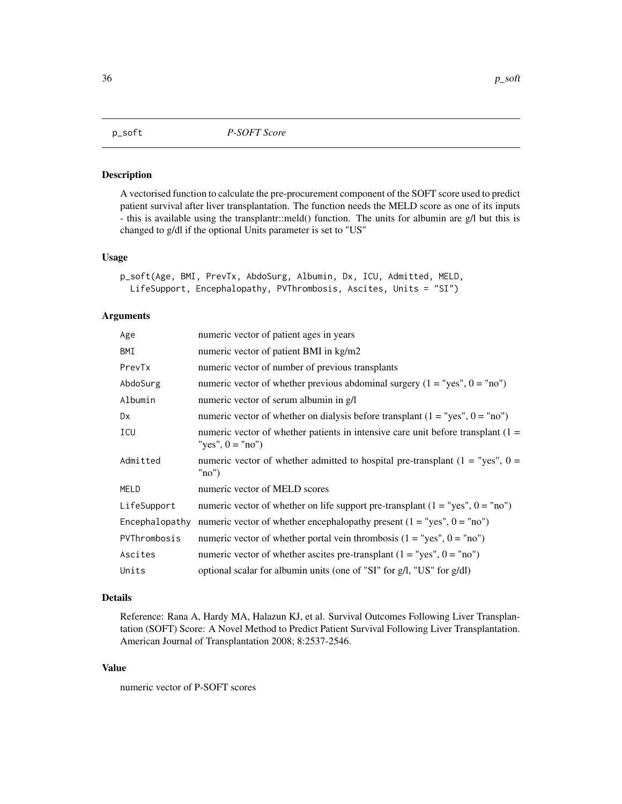<span id="page-35-0"></span>

A vectorised function to calculate the pre-procurement component of the SOFT score used to predict patient survival after liver transplantation. The function needs the MELD score as one of its inputs - this is available using the transplantr::meld() function. The units for albumin are g/l but this is changed to g/dl if the optional Units parameter is set to "US"

#### Usage

```
p_soft(Age, BMI, PrevTx, AbdoSurg, Albumin, Dx, ICU, Admitted, MELD,
 LifeSupport, Encephalopathy, PVThrombosis, Ascites, Units = "SI")
```
#### Arguments

| Age            | numeric vector of patient ages in years                                                                  |
|----------------|----------------------------------------------------------------------------------------------------------|
| BMI            | numeric vector of patient BMI in kg/m2                                                                   |
| PrevTx         | numeric vector of number of previous transplants                                                         |
| AbdoSurg       | numeric vector of whether previous abdominal surgery $(1 = "yes", 0 = "no")$                             |
| Albumin        | numeric vector of serum albumin in g/l                                                                   |
| Dx             | numeric vector of whether on dialysis before transplant $(1 = "yes", 0 = "no")$                          |
| ICU            | numeric vector of whether patients in intensive care unit before transplant $(1 =$<br>"yes", $0 =$ "no") |
| Admitted       | numeric vector of whether admitted to hospital pre-transplant ( $1 =$ "yes", $0 =$<br>"no"               |
| <b>MELD</b>    | numeric vector of MELD scores                                                                            |
| LifeSupport    | numeric vector of whether on life support pre-transplant $(1 = "yes", 0 = "no")$                         |
| Encephalopathy | numeric vector of whether encephalopathy present $(1 = "yes", 0 = "no")$                                 |
| PVThrombosis   | numeric vector of whether portal vein thrombosis $(1 = "yes", 0 = "no")$                                 |
| Ascites        | numeric vector of whether ascites pre-transplant $(1 = "yes", 0 = "no")$                                 |
| Units          | optional scalar for albumin units (one of "SI" for g/l, "US" for g/dl)                                   |

#### Details

Reference: Rana A, Hardy MA, Halazun KJ, et al. Survival Outcomes Following Liver Transplantation (SOFT) Score: A Novel Method to Predict Patient Survival Following Liver Transplantation. American Journal of Transplantation 2008; 8:2537-2546.

### Value

numeric vector of P-SOFT scores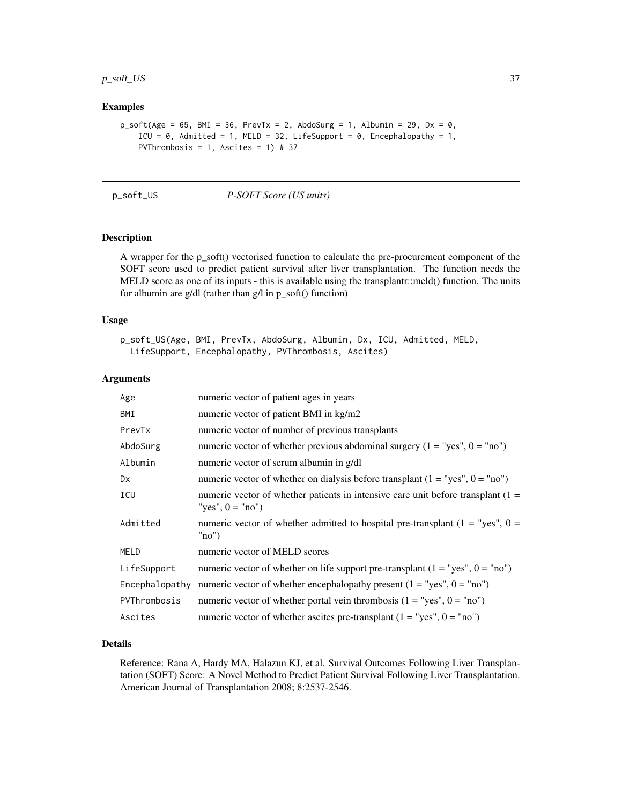### <span id="page-36-0"></span>p\_soft\_US 37

### Examples

```
p\_soft(Age = 65, BMI = 36, PrevTx = 2, AbdoSurg = 1, Albumin = 29, Dx = 0,ICU = \theta, Admitted = 1, MELD = 32, LifeSupport = \theta, Encephalopathy = 1,
    PVThrombosis = 1, Ascites = 1) # 37
```
#### p\_soft\_US *P-SOFT Score (US units)*

### Description

A wrapper for the p\_soft() vectorised function to calculate the pre-procurement component of the SOFT score used to predict patient survival after liver transplantation. The function needs the MELD score as one of its inputs - this is available using the transplantr::meld() function. The units for albumin are g/dl (rather than g/l in p\_soft() function)

#### Usage

```
p_soft_US(Age, BMI, PrevTx, AbdoSurg, Albumin, Dx, ICU, Admitted, MELD,
 LifeSupport, Encephalopathy, PVThrombosis, Ascites)
```
### Arguments

| Age            | numeric vector of patient ages in years                                                                  |
|----------------|----------------------------------------------------------------------------------------------------------|
| BMI            | numeric vector of patient BMI in kg/m2                                                                   |
| PrevTx         | numeric vector of number of previous transplants                                                         |
| AbdoSurg       | numeric vector of whether previous abdominal surgery $(1 = "yes", 0 = "no")$                             |
| Albumin        | numeric vector of serum albumin in g/dl                                                                  |
| <b>Dx</b>      | numeric vector of whether on dialysis before transplant $(1 = "yes", 0 = "no")$                          |
| ICU            | numeric vector of whether patients in intensive care unit before transplant $(1 =$<br>"yes", $0 =$ "no") |
| Admitted       | numeric vector of whether admitted to hospital pre-transplant $(1 = "yes", 0 =$<br>"no"                  |
| MELD           | numeric vector of MELD scores                                                                            |
| LifeSupport    | numeric vector of whether on life support pre-transplant $(1 = "yes", 0 = "no")$                         |
| Encephalopathy | numeric vector of whether encephalopathy present $(1 = "yes", 0 = "no")$                                 |
| PVThrombosis   | numeric vector of whether portal vein thrombosis $(1 = "yes", 0 = "no")$                                 |
| Ascites        | numeric vector of whether ascites pre-transplant $(1 = "yes", 0 = "no")$                                 |

### Details

Reference: Rana A, Hardy MA, Halazun KJ, et al. Survival Outcomes Following Liver Transplantation (SOFT) Score: A Novel Method to Predict Patient Survival Following Liver Transplantation. American Journal of Transplantation 2008; 8:2537-2546.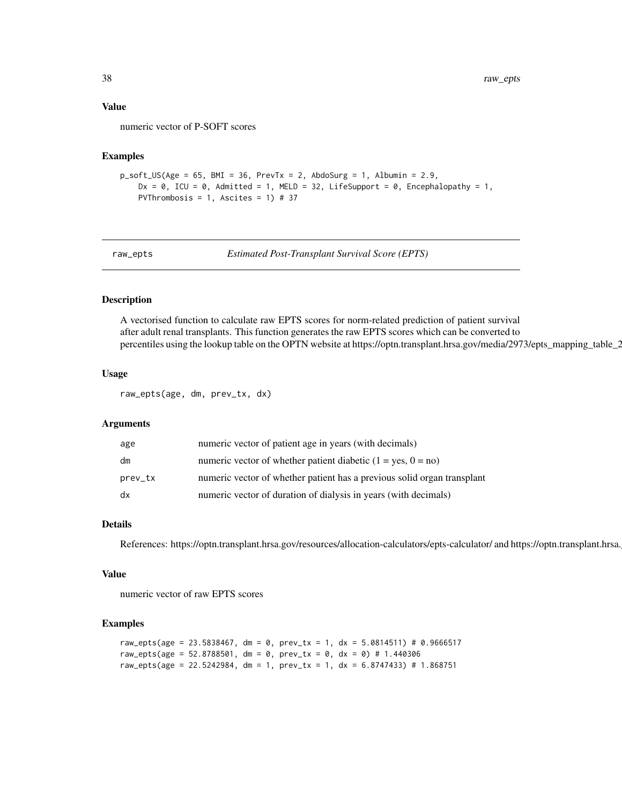#### <span id="page-37-0"></span>Value

numeric vector of P-SOFT scores

### Examples

```
p\_soft\_US(Age = 65, BMI = 36, PrevTx = 2, Abdosurg = 1, Albumin = 2.9,Dx = 0, ICU = 0, Admitted = 1, MELD = 32, LifeSupport = 0, Encephalopathy = 1,
   PVThrombosis = 1, Ascites = 1) # 37
```
raw\_epts *Estimated Post-Transplant Survival Score (EPTS)*

#### Description

A vectorised function to calculate raw EPTS scores for norm-related prediction of patient survival after adult renal transplants. This function generates the raw EPTS scores which can be converted to percentiles using the lookup table on the OPTN website at https://optn.transplant.hrsa.gov/media/2973/epts\_mapping\_table\_2

### Usage

raw\_epts(age, dm, prev\_tx, dx)

#### Arguments

| age     | numeric vector of patient age in years (with decimals)                  |
|---------|-------------------------------------------------------------------------|
| dm      | numeric vector of whether patient diabetic $(1 = yes, 0 = no)$          |
| prev_tx | numeric vector of whether patient has a previous solid organ transplant |
| dx      | numeric vector of duration of dialysis in years (with decimals)         |

### Details

References: https://optn.transplant.hrsa.gov/resources/allocation-calculators/epts-calculator/ and https://optn.transplant.hrsa.

#### Value

numeric vector of raw EPTS scores

```
raw_epts(age = 23.5838467, dm = 0, prev_tx = 1, dx = 5.0814511) # 0.9666517
raw_epts(age = 52.8788501, dm = 0, prev_tx = 0, dx = 0) # 1.440306
raw_epts(age = 22.5242984, dm = 1, prev_tx = 1, dx = 6.8747433) # 1.868751
```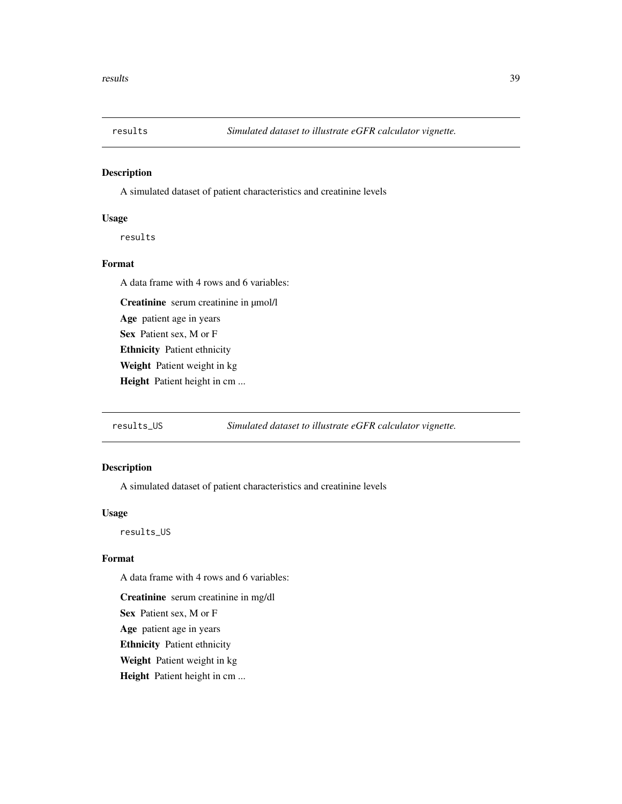<span id="page-38-0"></span>

A simulated dataset of patient characteristics and creatinine levels

### Usage

results

### Format

A data frame with 4 rows and 6 variables:

Creatinine serum creatinine in µmol/l

Age patient age in years

Sex Patient sex, M or F

Ethnicity Patient ethnicity

Weight Patient weight in kg

Height Patient height in cm ...

results\_US *Simulated dataset to illustrate eGFR calculator vignette.*

### Description

A simulated dataset of patient characteristics and creatinine levels

### Usage

results\_US

### Format

A data frame with 4 rows and 6 variables:

Creatinine serum creatinine in mg/dl

Sex Patient sex, M or F

Age patient age in years

Ethnicity Patient ethnicity

Weight Patient weight in kg

Height Patient height in cm ...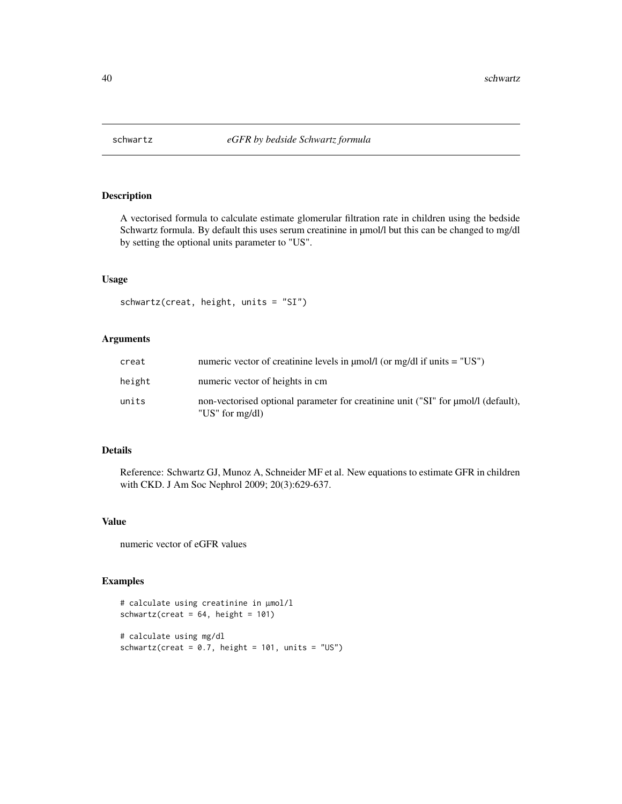<span id="page-39-0"></span>

A vectorised formula to calculate estimate glomerular filtration rate in children using the bedside Schwartz formula. By default this uses serum creatinine in  $\mu$ mol/l but this can be changed to mg/dl by setting the optional units parameter to "US".

### Usage

```
schwartz(creat, height, units = "SI")
```
### Arguments

| creat  | numeric vector of creatinine levels in $\mu$ mol/l (or mg/dl if units = "US")                        |
|--------|------------------------------------------------------------------------------------------------------|
| height | numeric vector of heights in cm                                                                      |
| units  | non-vectorised optional parameter for creatinine unit ("SI" for umol/l (default),<br>"US" for mg/dl) |

### Details

Reference: Schwartz GJ, Munoz A, Schneider MF et al. New equations to estimate GFR in children with CKD. J Am Soc Nephrol 2009; 20(3):629-637.

### Value

numeric vector of eGFR values

### Examples

```
# calculate using creatinine in µmol/l
schwartz(create = 64, height = 101)# calculate using mg/dl
```
schwartz(creat =  $0.7$ , height =  $101$ , units = "US")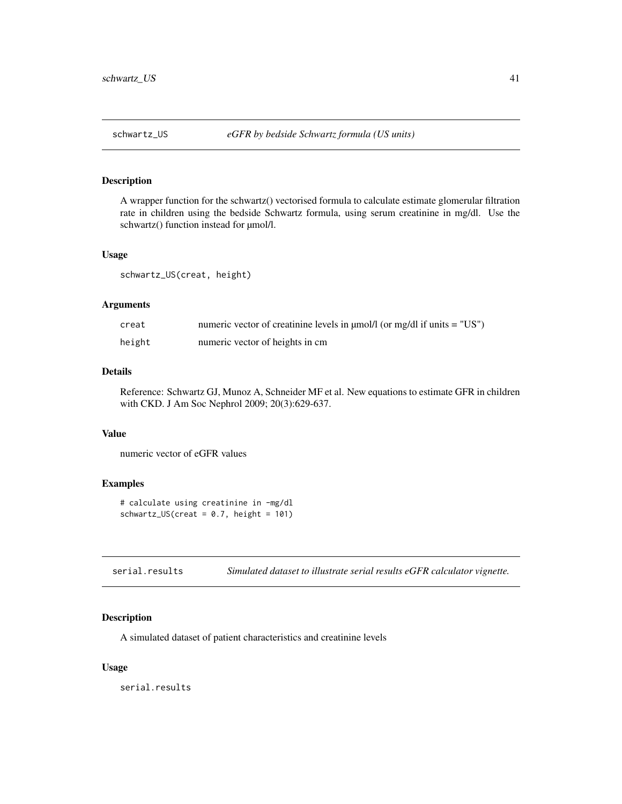<span id="page-40-0"></span>A wrapper function for the schwartz() vectorised formula to calculate estimate glomerular filtration rate in children using the bedside Schwartz formula, using serum creatinine in mg/dl. Use the schwartz() function instead for  $\mu$ mol/l.

#### Usage

schwartz\_US(creat, height)

#### Arguments

| creat  | numeric vector of creatinine levels in $\mu$ mol/l (or mg/dl if units = "US") |
|--------|-------------------------------------------------------------------------------|
| height | numeric vector of heights in cm                                               |

### Details

Reference: Schwartz GJ, Munoz A, Schneider MF et al. New equations to estimate GFR in children with CKD. J Am Soc Nephrol 2009; 20(3):629-637.

#### Value

numeric vector of eGFR values

#### Examples

```
# calculate using creatinine in -mg/dl
schwartz_US(creat = 0.7, height = 101)
```

| serial.results | Simulated dataset to illustrate serial results eGFR calculator vignette. |  |  |  |  |
|----------------|--------------------------------------------------------------------------|--|--|--|--|
|----------------|--------------------------------------------------------------------------|--|--|--|--|

### Description

A simulated dataset of patient characteristics and creatinine levels

#### Usage

serial.results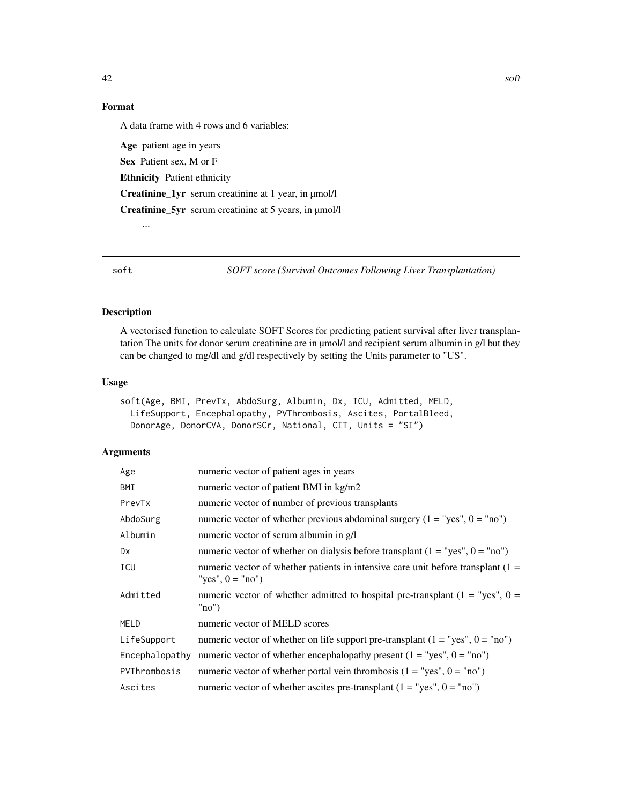### <span id="page-41-0"></span>Format

A data frame with 4 rows and 6 variables:

Age patient age in years Sex Patient sex, M or F Ethnicity Patient ethnicity Creatinine\_1yr serum creatinine at 1 year, in µmol/l Creatinine\_5yr serum creatinine at 5 years, in µmol/l ...

soft *SOFT score (Survival Outcomes Following Liver Transplantation)*

### Description

A vectorised function to calculate SOFT Scores for predicting patient survival after liver transplantation The units for donor serum creatinine are in µmol/l and recipient serum albumin in g/l but they can be changed to mg/dl and g/dl respectively by setting the Units parameter to "US".

#### Usage

```
soft(Age, BMI, PrevTx, AbdoSurg, Albumin, Dx, ICU, Admitted, MELD,
 LifeSupport, Encephalopathy, PVThrombosis, Ascites, PortalBleed,
 DonorAge, DonorCVA, DonorSCr, National, CIT, Units = "SI")
```
### Arguments

| Age            | numeric vector of patient ages in years                                                                  |  |  |
|----------------|----------------------------------------------------------------------------------------------------------|--|--|
| BMI            | numeric vector of patient BMI in kg/m2                                                                   |  |  |
| PrevTx         | numeric vector of number of previous transplants                                                         |  |  |
| AbdoSurg       | numeric vector of whether previous abdominal surgery $(1 = "yes", 0 = "no")$                             |  |  |
| Albumin        | numeric vector of serum albumin in g/l                                                                   |  |  |
| Dx             | numeric vector of whether on dialysis before transplant $(1 = "yes", 0 = "no")$                          |  |  |
| ICU            | numeric vector of whether patients in intensive care unit before transplant $(1 =$<br>"ves", $0 =$ "no") |  |  |
| Admitted       | numeric vector of whether admitted to hospital pre-transplant ( $1 =$ "yes", $0 =$<br>"no"               |  |  |
| MELD           | numeric vector of MELD scores                                                                            |  |  |
| LifeSupport    | numeric vector of whether on life support pre-transplant $(1 = "yes", 0 = "no")$                         |  |  |
| Encephalopathy | numeric vector of whether encephalopathy present $(1 = "yes", 0 = "no")$                                 |  |  |
| PVThrombosis   | numeric vector of whether portal vein thrombosis $(1 = "yes", 0 = "no")$                                 |  |  |
| Ascites        | numeric vector of whether ascites pre-transplant $(1 = "yes", 0 = "no")$                                 |  |  |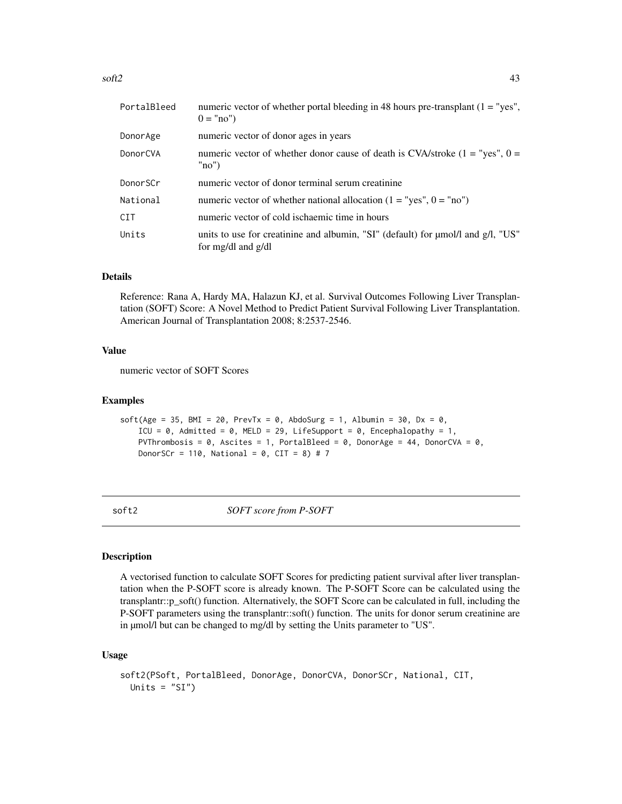<span id="page-42-0"></span>

| PortalBleed | numeric vector of whether portal bleeding in 48 hours pre-transplant $(1 = "yes",$<br>$0 = "no")$           |
|-------------|-------------------------------------------------------------------------------------------------------------|
| DonorAge    | numeric vector of donor ages in years                                                                       |
| DonorCVA    | numeric vector of whether donor cause of death is CVA/stroke $(1 = "yes", 0 =$<br>"no"                      |
| DonorSCr    | numeric vector of donor terminal serum creatinine                                                           |
| National    | numeric vector of whether national allocation $(1 = "yes", 0 = "no")$                                       |
| <b>CIT</b>  | numeric vector of cold ischaemic time in hours                                                              |
| Units       | units to use for creatinine and albumin, "SI" (default) for $\mu$ mol/l and g/l, "US"<br>for mg/dl and g/dl |

### Details

Reference: Rana A, Hardy MA, Halazun KJ, et al. Survival Outcomes Following Liver Transplantation (SOFT) Score: A Novel Method to Predict Patient Survival Following Liver Transplantation. American Journal of Transplantation 2008; 8:2537-2546.

### Value

numeric vector of SOFT Scores

#### Examples

```
soft(Age = 35, BMI = 20, PrevTx = 0, AbdoSurg = 1, Albumin = 30, Dx = 0,
    ICU = \theta, Admitted = \theta, MELD = 29, LifeSupport = \theta, Encephalopathy = 1,
    PVThrombosis = 0, Ascites = 1, PortalBleed = 0, DonorAge = 44, DonorCVA = 0,
    DonorSCr = 110, National = 0, CIT = 8) # 7
```
soft2 *SOFT score from P-SOFT*

#### Description

A vectorised function to calculate SOFT Scores for predicting patient survival after liver transplantation when the P-SOFT score is already known. The P-SOFT Score can be calculated using the transplantr::p\_soft() function. Alternatively, the SOFT Score can be calculated in full, including the P-SOFT parameters using the transplantr::soft() function. The units for donor serum creatinine are in µmol/l but can be changed to mg/dl by setting the Units parameter to "US".

#### Usage

```
soft2(PSoft, PortalBleed, DonorAge, DonorCVA, DonorSCr, National, CIT,
 Units = "SI")
```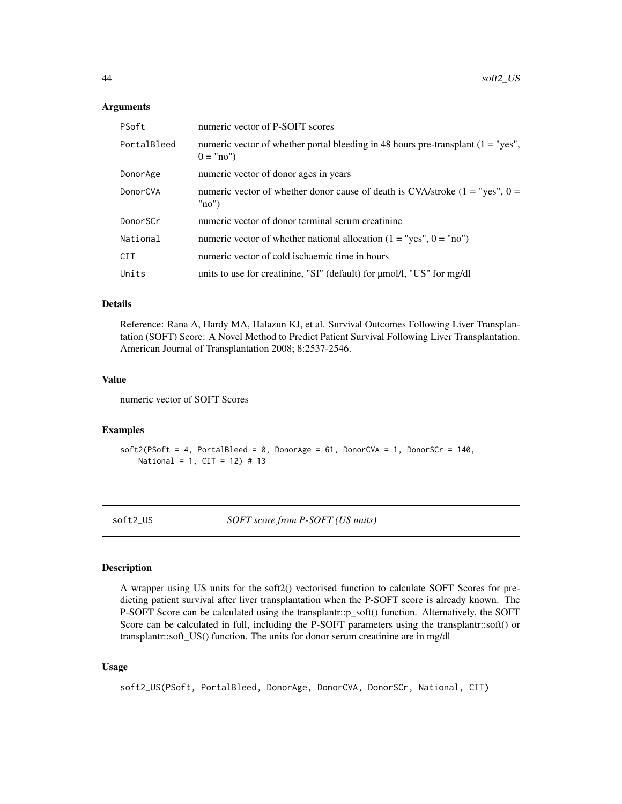#### **Arguments**

| PSoft       | numeric vector of P-SOFT scores                                                                   |
|-------------|---------------------------------------------------------------------------------------------------|
| PortalBleed | numeric vector of whether portal bleeding in 48 hours pre-transplant $(1 = "yes",$<br>$0 = "no")$ |
| DonorAge    | numeric vector of donor ages in years                                                             |
| DonorCVA    | numeric vector of whether donor cause of death is CVA/stroke $(1 = "yes", 0 =$<br>"no"            |
| DonorSCr    | numeric vector of donor terminal serum creatinine                                                 |
| National    | numeric vector of whether national allocation $(1 = "yes", 0 = "no")$                             |
| CIT         | numeric vector of cold ischaemic time in hours                                                    |
| Units       | units to use for creatinine, "SI" (default) for $\mu$ mol/l, "US" for mg/dl                       |

### Details

Reference: Rana A, Hardy MA, Halazun KJ, et al. Survival Outcomes Following Liver Transplantation (SOFT) Score: A Novel Method to Predict Patient Survival Following Liver Transplantation. American Journal of Transplantation 2008; 8:2537-2546.

### Value

numeric vector of SOFT Scores

### Examples

```
soft2(PSoft = 4, PortalBlead = 0, DonorAge = 61, DonorCVA = 1, DonorSCr = 140,National = 1, CIT = 12) # 13
```
soft2\_US *SOFT score from P-SOFT (US units)*

#### Description

A wrapper using US units for the soft2() vectorised function to calculate SOFT Scores for predicting patient survival after liver transplantation when the P-SOFT score is already known. The P-SOFT Score can be calculated using the transplantr::p\_soft() function. Alternatively, the SOFT Score can be calculated in full, including the P-SOFT parameters using the transplantr::soft() or transplantr::soft\_US() function. The units for donor serum creatinine are in mg/dl

### Usage

soft2\_US(PSoft, PortalBleed, DonorAge, DonorCVA, DonorSCr, National, CIT)

<span id="page-43-0"></span>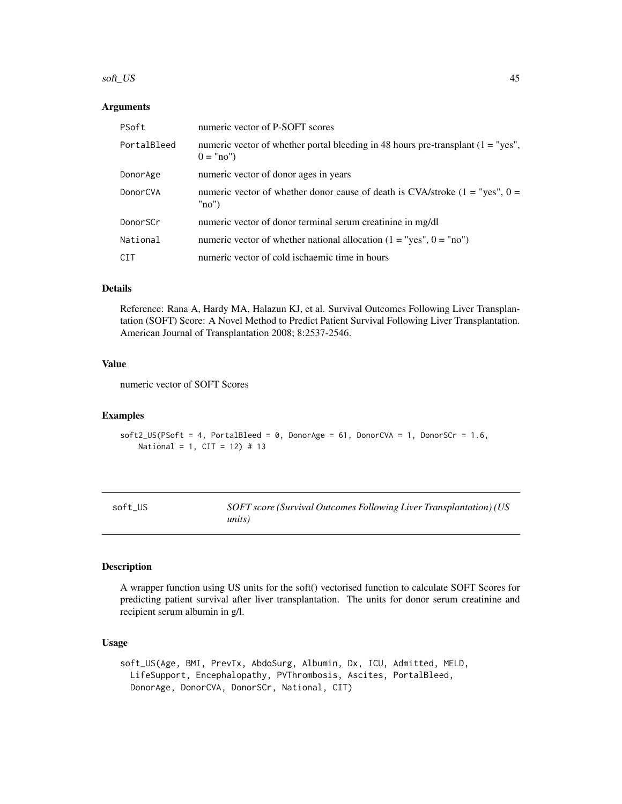#### <span id="page-44-0"></span>soft\_US 45

#### **Arguments**

| PSoft       | numeric vector of P-SOFT scores                                                                   |  |
|-------------|---------------------------------------------------------------------------------------------------|--|
| PortalBleed | numeric vector of whether portal bleeding in 48 hours pre-transplant $(1 = "yes",$<br>$0 = "no")$ |  |
| DonorAge    | numeric vector of donor ages in years                                                             |  |
| DonorCVA    | numeric vector of whether donor cause of death is CVA/stroke $(1 = "yes", 0 =$<br>"no"            |  |
| DonorSCr    | numeric vector of donor terminal serum creatinine in mg/dl                                        |  |
| National    | numeric vector of whether national allocation $(1 = "yes", 0 = "no")$                             |  |
| <b>CIT</b>  | numeric vector of cold ischaemic time in hours                                                    |  |

### Details

Reference: Rana A, Hardy MA, Halazun KJ, et al. Survival Outcomes Following Liver Transplantation (SOFT) Score: A Novel Method to Predict Patient Survival Following Liver Transplantation. American Journal of Transplantation 2008; 8:2537-2546.

### Value

numeric vector of SOFT Scores

#### Examples

soft2\_US(PSoft = 4, PortalBleed = 0, DonorAge = 61, DonorCVA = 1, DonorSCr = 1.6, National = 1, CIT = 12) # 13

| soft US | SOFT score (Survival Outcomes Following Liver Transplantation) (US |
|---------|--------------------------------------------------------------------|
|         | units)                                                             |

### Description

A wrapper function using US units for the soft() vectorised function to calculate SOFT Scores for predicting patient survival after liver transplantation. The units for donor serum creatinine and recipient serum albumin in g/l.

### Usage

soft\_US(Age, BMI, PrevTx, AbdoSurg, Albumin, Dx, ICU, Admitted, MELD, LifeSupport, Encephalopathy, PVThrombosis, Ascites, PortalBleed, DonorAge, DonorCVA, DonorSCr, National, CIT)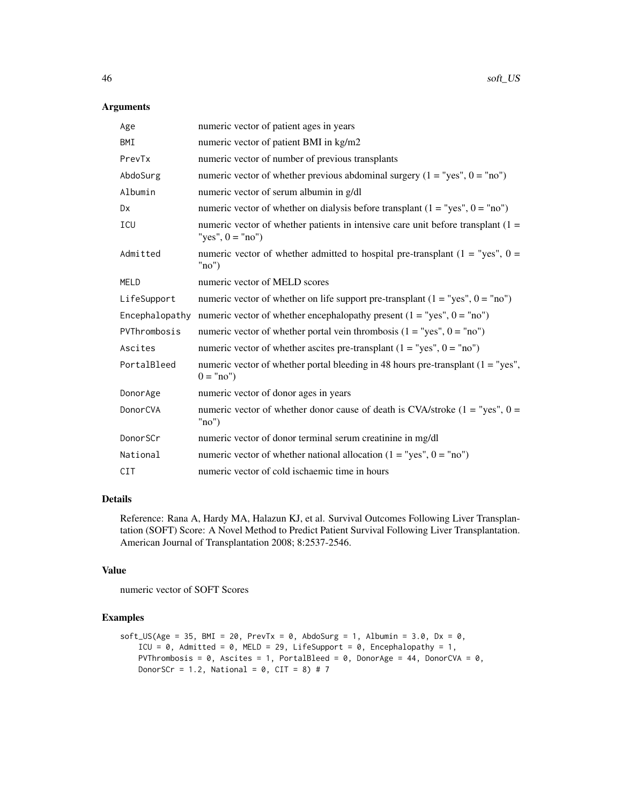### Arguments

| Age            | numeric vector of patient ages in years                                                                  |  |
|----------------|----------------------------------------------------------------------------------------------------------|--|
| BMI            | numeric vector of patient BMI in kg/m2                                                                   |  |
| PrevTx         | numeric vector of number of previous transplants                                                         |  |
| AbdoSurg       | numeric vector of whether previous abdominal surgery $(1 = "yes", 0 = "no")$                             |  |
| Albumin        | numeric vector of serum albumin in g/dl                                                                  |  |
| <b>Dx</b>      | numeric vector of whether on dialysis before transplant $(1 = "yes", 0 = "no")$                          |  |
| ICU            | numeric vector of whether patients in intensive care unit before transplant $(1 =$<br>"yes", $0 =$ "no") |  |
| Admitted       | numeric vector of whether admitted to hospital pre-transplant ( $1 =$ "yes", $0 =$<br>"no"               |  |
| <b>MELD</b>    | numeric vector of MELD scores                                                                            |  |
| LifeSupport    | numeric vector of whether on life support pre-transplant $(1 = "yes", 0 = "no")$                         |  |
| Encephalopathy | numeric vector of whether encephalopathy present $(1 = "yes", 0 = "no")$                                 |  |
| PVThrombosis   | numeric vector of whether portal vein thrombosis $(1 = "yes", 0 = "no")$                                 |  |
| Ascites        | numeric vector of whether ascites pre-transplant $(1 = "yes", 0 = "no")$                                 |  |
| PortalBleed    | numeric vector of whether portal bleeding in 48 hours pre-transplant $(1 = "yes",$<br>$0 = "no")$        |  |
| DonorAge       | numeric vector of donor ages in years                                                                    |  |
| DonorCVA       | numeric vector of whether donor cause of death is CVA/stroke $(1 = "yes", 0 =$<br>"no"                   |  |
| DonorSCr       | numeric vector of donor terminal serum creatinine in mg/dl                                               |  |
| National       | numeric vector of whether national allocation $(1 = "yes", 0 = "no")$                                    |  |
| <b>CIT</b>     | numeric vector of cold ischaemic time in hours                                                           |  |

### Details

Reference: Rana A, Hardy MA, Halazun KJ, et al. Survival Outcomes Following Liver Transplantation (SOFT) Score: A Novel Method to Predict Patient Survival Following Liver Transplantation. American Journal of Transplantation 2008; 8:2537-2546.

### Value

numeric vector of SOFT Scores

```
soft_US(Age = 35, BMI = 20, PrevTx = 0, AbdoSurg = 1, Albumin = 3.0, Dx = 0,
    ICU = \theta, Admitted = \theta, MELD = 29, LifeSupport = \theta, Encephalopathy = 1,
    PVThrombosis = \theta, Ascites = 1, PortalBleed = \theta, DonorAge = 44, DonorCVA = \theta,
    DonorSCr = 1.2, National = 0, CIT = 8) # 7
```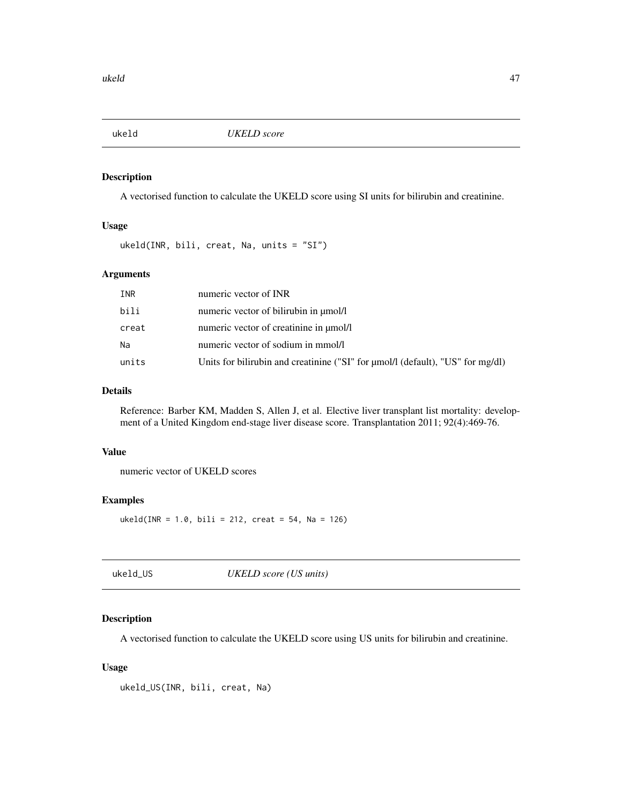<span id="page-46-0"></span>

A vectorised function to calculate the UKELD score using SI units for bilirubin and creatinine.

### Usage

ukeld(INR, bili, creat, Na, units = "SI")

### Arguments

| INR   | numeric vector of INR                                                               |
|-------|-------------------------------------------------------------------------------------|
| bili  | numeric vector of bilirubin in $\mu$ mol/l                                          |
| creat | numeric vector of creatinine in $\mu$ mol/l                                         |
| Na    | numeric vector of sodium in mmol/l                                                  |
| units | Units for bilirubin and creatinine ("SI" for $\mu$ mol/l (default), "US" for mg/dl) |

### Details

Reference: Barber KM, Madden S, Allen J, et al. Elective liver transplant list mortality: development of a United Kingdom end-stage liver disease score. Transplantation 2011; 92(4):469-76.

### Value

numeric vector of UKELD scores

### Examples

 $ukeld(INR = 1.0, bili = 212, creat = 54, Na = 126)$ 

| ukeld_US | UKELD score (US units) |  |
|----------|------------------------|--|
|----------|------------------------|--|

### Description

A vectorised function to calculate the UKELD score using US units for bilirubin and creatinine.

### Usage

```
ukeld_US(INR, bili, creat, Na)
```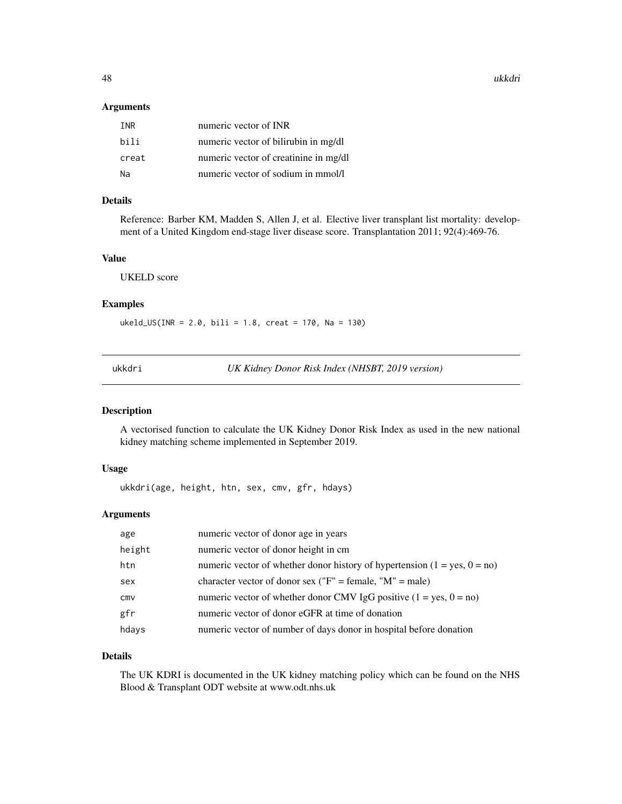<span id="page-47-0"></span>48 ukkdri

#### Arguments

| <b>TNR</b> | numeric vector of INR                 |
|------------|---------------------------------------|
| hili       | numeric vector of bilirubin in mg/dl  |
| creat      | numeric vector of creatinine in mg/dl |
| Na         | numeric vector of sodium in mmol/l    |

### Details

Reference: Barber KM, Madden S, Allen J, et al. Elective liver transplant list mortality: development of a United Kingdom end-stage liver disease score. Transplantation 2011; 92(4):469-76.

### Value

UKELD score

#### Examples

 $ukeld_JUS(INR = 2.0, bili = 1.8, creat = 170, Na = 130)$ 

ukkdri *UK Kidney Donor Risk Index (NHSBT, 2019 version)*

### Description

A vectorised function to calculate the UK Kidney Donor Risk Index as used in the new national kidney matching scheme implemented in September 2019.

### Usage

ukkdri(age, height, htn, sex, cmv, gfr, hdays)

### Arguments

| age    | numeric vector of donor age in years                                        |
|--------|-----------------------------------------------------------------------------|
| height | numeric vector of donor height in cm                                        |
| htn    | numeric vector of whether donor history of hypertension $(1 = yes, 0 = no)$ |
| sex    | character vector of donor sex ("F" = female, "M" = male)                    |
| cmv    | numeric vector of whether donor CMV IgG positive $(1 = yes, 0 = no)$        |
| gfr    | numeric vector of donor eGFR at time of donation                            |
| hdays  | numeric vector of number of days donor in hospital before donation          |

#### Details

The UK KDRI is documented in the UK kidney matching policy which can be found on the NHS Blood & Transplant ODT website at www.odt.nhs.uk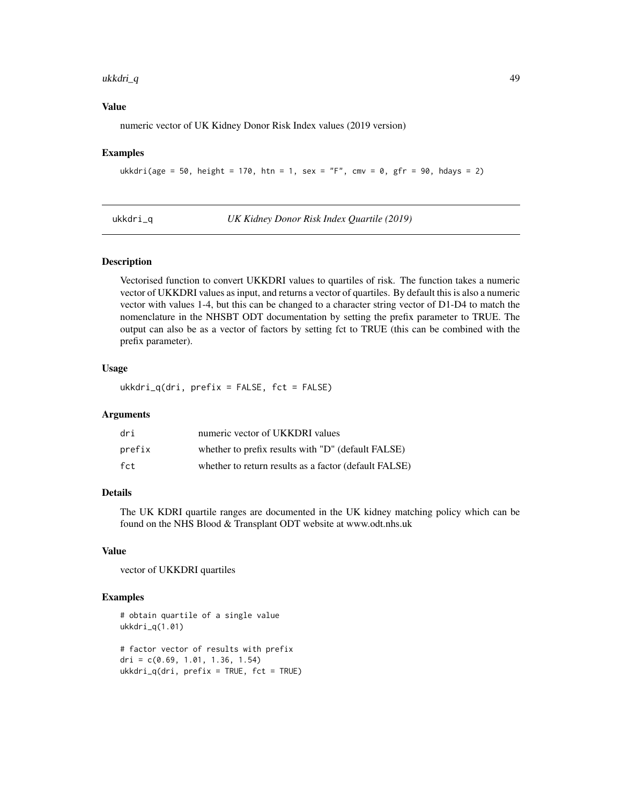#### <span id="page-48-0"></span> $ukkdri_q$  and  $49$

### Value

numeric vector of UK Kidney Donor Risk Index values (2019 version)

#### Examples

```
ukkdri(age = 50, height = 170, htn = 1, sex = "F", cmv = 0, gfr = 90, hdays = 2)
```
ukkdri\_q *UK Kidney Donor Risk Index Quartile (2019)*

#### **Description**

Vectorised function to convert UKKDRI values to quartiles of risk. The function takes a numeric vector of UKKDRI values as input, and returns a vector of quartiles. By default this is also a numeric vector with values 1-4, but this can be changed to a character string vector of D1-D4 to match the nomenclature in the NHSBT ODT documentation by setting the prefix parameter to TRUE. The output can also be as a vector of factors by setting fct to TRUE (this can be combined with the prefix parameter).

### Usage

 $ukkdiri_q(dri, prefix = FALSE, fct = FALSE)$ 

#### Arguments

| dri    | numeric vector of UKKDRI values                       |
|--------|-------------------------------------------------------|
| prefix | whether to prefix results with "D" (default FALSE)    |
| fct    | whether to return results as a factor (default FALSE) |

### Details

The UK KDRI quartile ranges are documented in the UK kidney matching policy which can be found on the NHS Blood & Transplant ODT website at www.odt.nhs.uk

### Value

vector of UKKDRI quartiles

```
# obtain quartile of a single value
ukkdri_q(1.01)
# factor vector of results with prefix
dri = c(0.69, 1.01, 1.36, 1.54)
```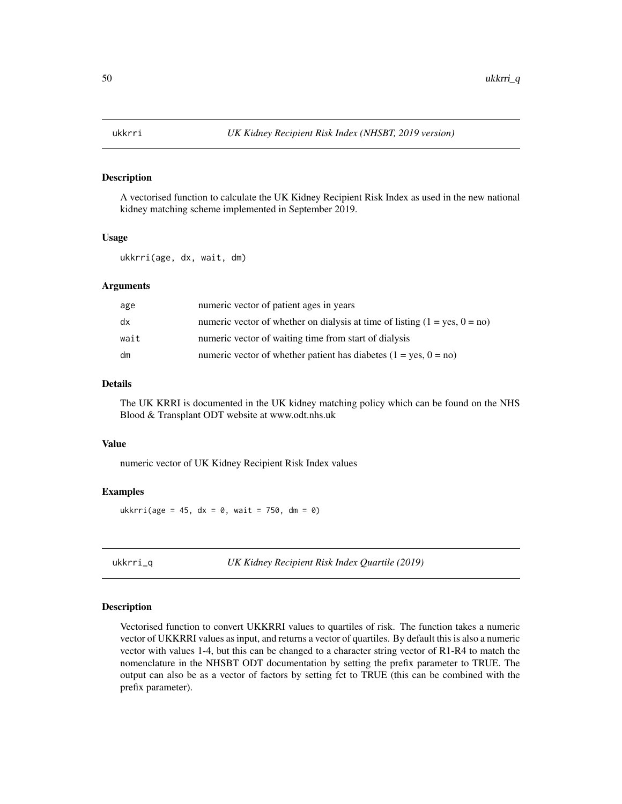<span id="page-49-0"></span>

A vectorised function to calculate the UK Kidney Recipient Risk Index as used in the new national kidney matching scheme implemented in September 2019.

#### Usage

ukkrri(age, dx, wait, dm)

#### Arguments

| age  | numeric vector of patient ages in years                                          |
|------|----------------------------------------------------------------------------------|
| dx   | numeric vector of whether on dialysis at time of listing $(1 = yes, 0 = no)$     |
| wait | numeric vector of waiting time from start of dialysis                            |
| dm   | numeric vector of whether patient has diabetes $(1 = \text{ves}, 0 = \text{no})$ |

### Details

The UK KRRI is documented in the UK kidney matching policy which can be found on the NHS Blood & Transplant ODT website at www.odt.nhs.uk

#### Value

numeric vector of UK Kidney Recipient Risk Index values

### Examples

ukkrri(age = 45, dx =  $\theta$ , wait = 750, dm =  $\theta$ )

ukkrri\_q *UK Kidney Recipient Risk Index Quartile (2019)*

#### Description

Vectorised function to convert UKKRRI values to quartiles of risk. The function takes a numeric vector of UKKRRI values as input, and returns a vector of quartiles. By default this is also a numeric vector with values 1-4, but this can be changed to a character string vector of R1-R4 to match the nomenclature in the NHSBT ODT documentation by setting the prefix parameter to TRUE. The output can also be as a vector of factors by setting fct to TRUE (this can be combined with the prefix parameter).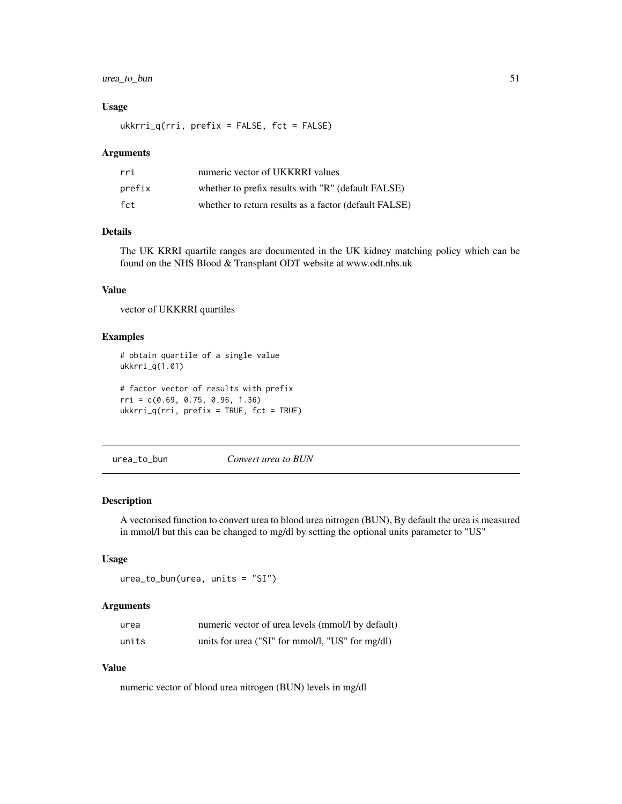### <span id="page-50-0"></span>urea\_to\_bun 51

#### Usage

ukkrri\_q(rri, prefix = FALSE, fct = FALSE)

#### Arguments

| rri    | numeric vector of UKKRRI values                       |
|--------|-------------------------------------------------------|
| prefix | whether to prefix results with "R" (default FALSE)    |
| fct    | whether to return results as a factor (default FALSE) |

### Details

The UK KRRI quartile ranges are documented in the UK kidney matching policy which can be found on the NHS Blood & Transplant ODT website at www.odt.nhs.uk

### Value

vector of UKKRRI quartiles

#### Examples

```
# obtain quartile of a single value
ukkrri_q(1.01)
# factor vector of results with prefix
```
rri = c(0.69, 0.75, 0.96, 1.36) ukkrri\_q(rri, prefix = TRUE, fct = TRUE)

urea\_to\_bun *Convert urea to BUN*

#### Description

A vectorised function to convert urea to blood urea nitrogen (BUN), By default the urea is measured in mmol/l but this can be changed to mg/dl by setting the optional units parameter to "US"

#### Usage

urea\_to\_bun(urea, units = "SI")

#### Arguments

| urea  | numeric vector of urea levels (mmol/l by default) |
|-------|---------------------------------------------------|
| units | units for urea ("SI" for mmol/l, "US" for mg/dl)  |

### Value

numeric vector of blood urea nitrogen (BUN) levels in mg/dl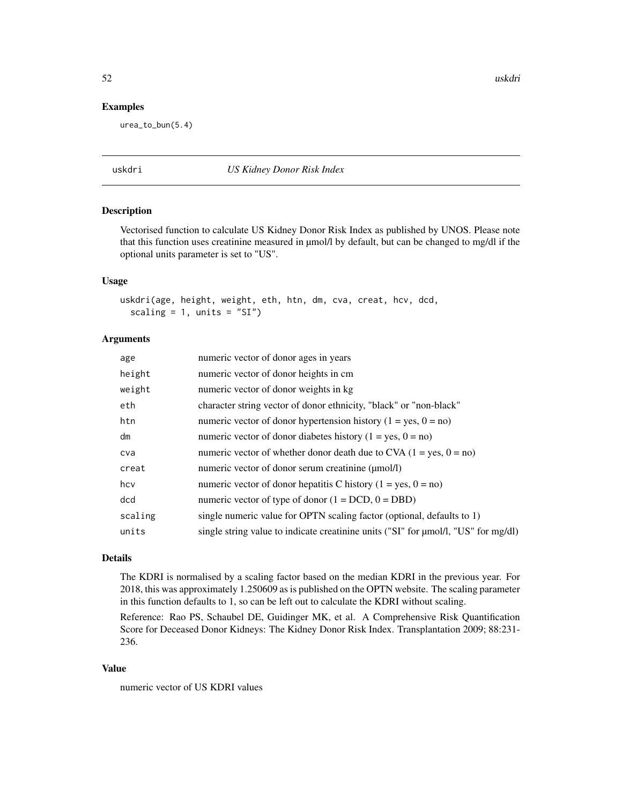<span id="page-51-0"></span>52 uskdri

#### Examples

urea\_to\_bun(5.4)

### uskdri *US Kidney Donor Risk Index*

### Description

Vectorised function to calculate US Kidney Donor Risk Index as published by UNOS. Please note that this function uses creatinine measured in µmol/l by default, but can be changed to mg/dl if the optional units parameter is set to "US".

### Usage

uskdri(age, height, weight, eth, htn, dm, cva, creat, hcv, dcd, scaling =  $1$ , units = "SI")

#### Arguments

| age     | numeric vector of donor ages in years                                              |
|---------|------------------------------------------------------------------------------------|
| height  | numeric vector of donor heights in cm                                              |
| weight  | numeric vector of donor weights in kg                                              |
| eth     | character string vector of donor ethnicity, "black" or "non-black"                 |
| htn     | numeric vector of donor hypertension history $(1 = yes, 0 = no)$                   |
| dm      | numeric vector of donor diabetes history ( $1 = yes$ , $0 = no$ )                  |
| cva     | numeric vector of whether donor death due to CVA $(1 = yes, 0 = no)$               |
| creat   | numeric vector of donor serum creatinine ( $\mu$ mol/l)                            |
| hcv     | numeric vector of donor hepatitis C history $(1 = yes, 0 = no)$                    |
| dcd     | numeric vector of type of donor $(1 = DCD, 0 = DBD)$                               |
| scaling | single numeric value for OPTN scaling factor (optional, defaults to 1)             |
| units   | single string value to indicate creatinine units ("SI" for µmol/l, "US" for mg/dl) |
|         |                                                                                    |

### Details

The KDRI is normalised by a scaling factor based on the median KDRI in the previous year. For 2018, this was approximately 1.250609 as is published on the OPTN website. The scaling parameter in this function defaults to 1, so can be left out to calculate the KDRI without scaling.

Reference: Rao PS, Schaubel DE, Guidinger MK, et al. A Comprehensive Risk Quantification Score for Deceased Donor Kidneys: The Kidney Donor Risk Index. Transplantation 2009; 88:231- 236.

#### Value

numeric vector of US KDRI values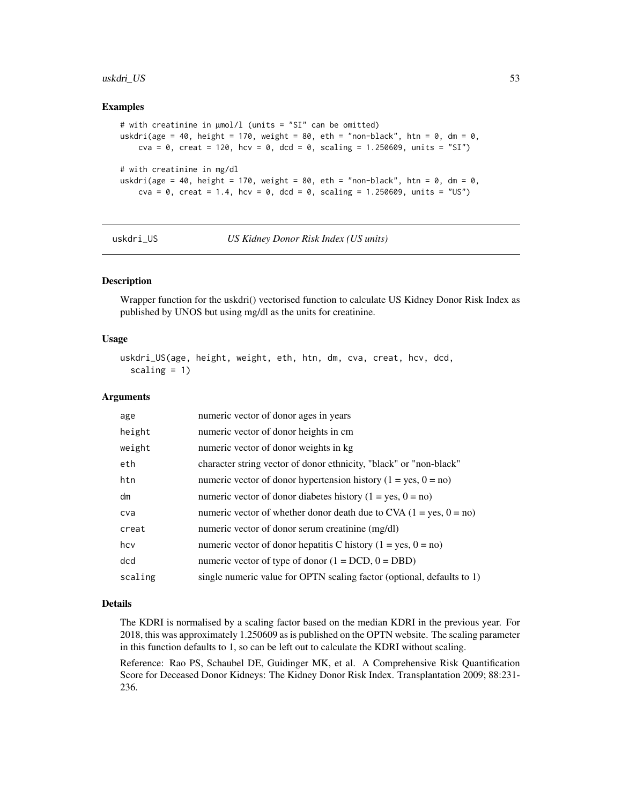#### <span id="page-52-0"></span>uskdri\_US 53

#### Examples

```
# with creatinine in µmol/l (units = "SI" can be omitted)
uskdri(age = 40, height = 170, weight = 80, eth = "non-black", htn = 0, dm = 0,
   cva = 0, creat = 120, hcv = 0, dcd = 0, scaling = 1.250609, units = "SI")
# with creatinine in mg/dl
uskdri(age = 40, height = 170, weight = 80, eth = "non-black", htn = 0, dm = 0,
   cva = 0, creat = 1.4, hcv = 0, dcd = 0, scaling = 1.250609, units = "US")
```

```
uskdri_US US Kidney Donor Risk Index (US units)
```
#### Description

Wrapper function for the uskdri() vectorised function to calculate US Kidney Donor Risk Index as published by UNOS but using mg/dl as the units for creatinine.

#### Usage

```
uskdri_US(age, height, weight, eth, htn, dm, cva, creat, hcv, dcd,
  scaling = 1)
```
#### Arguments

| age     | numeric vector of donor ages in years                                  |
|---------|------------------------------------------------------------------------|
| height  | numeric vector of donor heights in cm.                                 |
| weight  | numeric vector of donor weights in kg                                  |
| eth     | character string vector of donor ethnicity, "black" or "non-black"     |
| htn     | numeric vector of donor hypertension history $(1 = yes, 0 = no)$       |
| dm      | numeric vector of donor diabetes history $(1 = yes, 0 = no)$           |
| cva     | numeric vector of whether donor death due to CVA $(1 = yes, 0 = no)$   |
| creat   | numeric vector of donor serum creatinine (mg/dl)                       |
| hcv     | numeric vector of donor hepatitis C history $(1 = yes, 0 = no)$        |
| dcd     | numeric vector of type of donor $(1 = DCD, 0 = DBD)$                   |
| scaling | single numeric value for OPTN scaling factor (optional, defaults to 1) |

#### Details

The KDRI is normalised by a scaling factor based on the median KDRI in the previous year. For 2018, this was approximately 1.250609 as is published on the OPTN website. The scaling parameter in this function defaults to 1, so can be left out to calculate the KDRI without scaling.

Reference: Rao PS, Schaubel DE, Guidinger MK, et al. A Comprehensive Risk Quantification Score for Deceased Donor Kidneys: The Kidney Donor Risk Index. Transplantation 2009; 88:231- 236.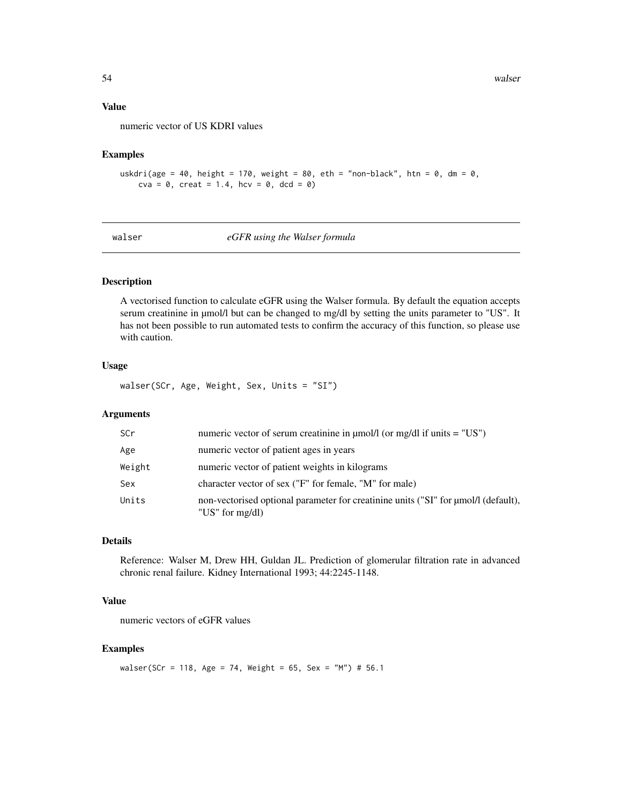### Value

numeric vector of US KDRI values

### Examples

```
uskdri(age = 40, height = 170, weight = 80, eth = "non-black", htn = 0, dm = 0,
    cva = 0, creat = 1.4, hcv = 0, dcd = 0)
```
walser *eGFR using the Walser formula*

#### Description

A vectorised function to calculate eGFR using the Walser formula. By default the equation accepts serum creatinine in  $\mu$ mol/l but can be changed to mg/dl by setting the units parameter to "US". It has not been possible to run automated tests to confirm the accuracy of this function, so please use with caution.

### Usage

walser(SCr, Age, Weight, Sex, Units = "SI")

### Arguments

| <b>SCr</b> | numeric vector of serum creatinine in $\mu$ mol/l (or mg/dl if units = "US")                                  |
|------------|---------------------------------------------------------------------------------------------------------------|
| Age        | numeric vector of patient ages in years                                                                       |
| Weight     | numeric vector of patient weights in kilograms                                                                |
| Sex        | character vector of sex ("F" for female, "M" for male)                                                        |
| Units      | non-vectorised optional parameter for creatinine units ("SI" for $\mu$ mol/l (default),<br>"US" for $mg/dl$ ) |

### Details

Reference: Walser M, Drew HH, Guldan JL. Prediction of glomerular filtration rate in advanced chronic renal failure. Kidney International 1993; 44:2245-1148.

### Value

numeric vectors of eGFR values

### Examples

walser(SCr = 118, Age = 74, Weight = 65, Sex = "M") # 56.1

<span id="page-53-0"></span>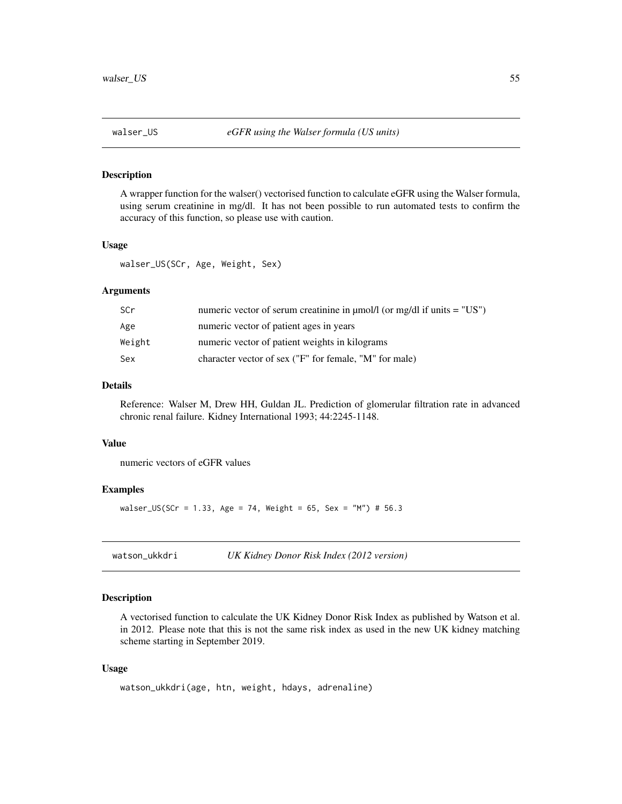<span id="page-54-0"></span>

A wrapper function for the walser() vectorised function to calculate eGFR using the Walser formula, using serum creatinine in mg/dl. It has not been possible to run automated tests to confirm the accuracy of this function, so please use with caution.

### Usage

walser\_US(SCr, Age, Weight, Sex)

### Arguments

| SCr    | numeric vector of serum creatinine in $\mu$ mol/l (or mg/dl if units = "US") |
|--------|------------------------------------------------------------------------------|
| Age    | numeric vector of patient ages in years                                      |
| Weight | numeric vector of patient weights in kilograms                               |
| Sex    | character vector of sex ("F" for female, "M" for male)                       |

### Details

Reference: Walser M, Drew HH, Guldan JL. Prediction of glomerular filtration rate in advanced chronic renal failure. Kidney International 1993; 44:2245-1148.

#### Value

numeric vectors of eGFR values

### Examples

walser\_US(SCr = 1.33, Age = 74, Weight = 65, Sex = "M") # 56.3

| watson_ukkdri | UK Kidney Donor Risk Index (2012 version) |
|---------------|-------------------------------------------|
|---------------|-------------------------------------------|

### Description

A vectorised function to calculate the UK Kidney Donor Risk Index as published by Watson et al. in 2012. Please note that this is not the same risk index as used in the new UK kidney matching scheme starting in September 2019.

#### Usage

```
watson_ukkdri(age, htn, weight, hdays, adrenaline)
```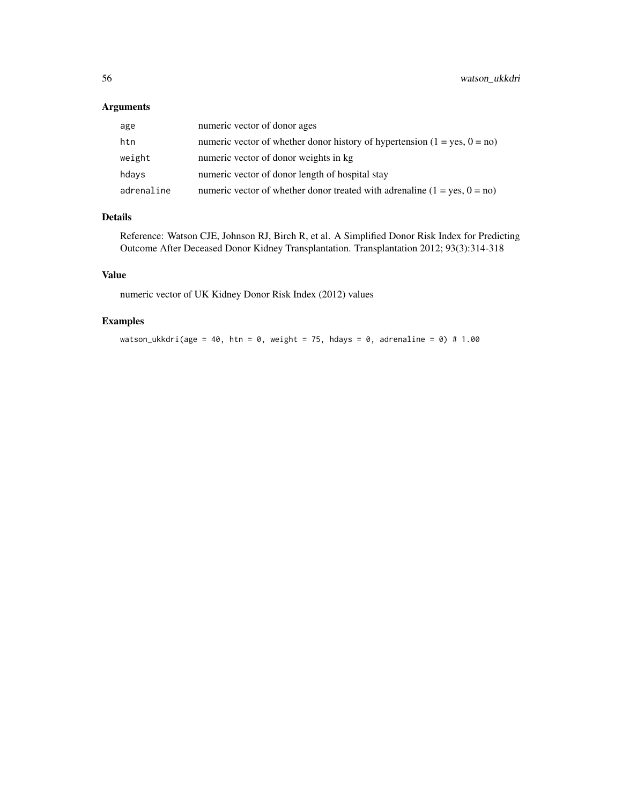### Arguments

| age        | numeric vector of donor ages                                                |
|------------|-----------------------------------------------------------------------------|
| htn        | numeric vector of whether donor history of hypertension $(1 = yes, 0 = no)$ |
| weight     | numeric vector of donor weights in kg                                       |
| hdays      | numeric vector of donor length of hospital stay                             |
| adrenaline | numeric vector of whether donor treated with adrenaline $(1 = yes, 0 = no)$ |

### Details

Reference: Watson CJE, Johnson RJ, Birch R, et al. A Simplified Donor Risk Index for Predicting Outcome After Deceased Donor Kidney Transplantation. Transplantation 2012; 93(3):314-318

### Value

numeric vector of UK Kidney Donor Risk Index (2012) values

### Examples

watson\_ukkdri(age = 40, htn = 0, weight = 75, hdays = 0, adrenaline = 0) # 1.00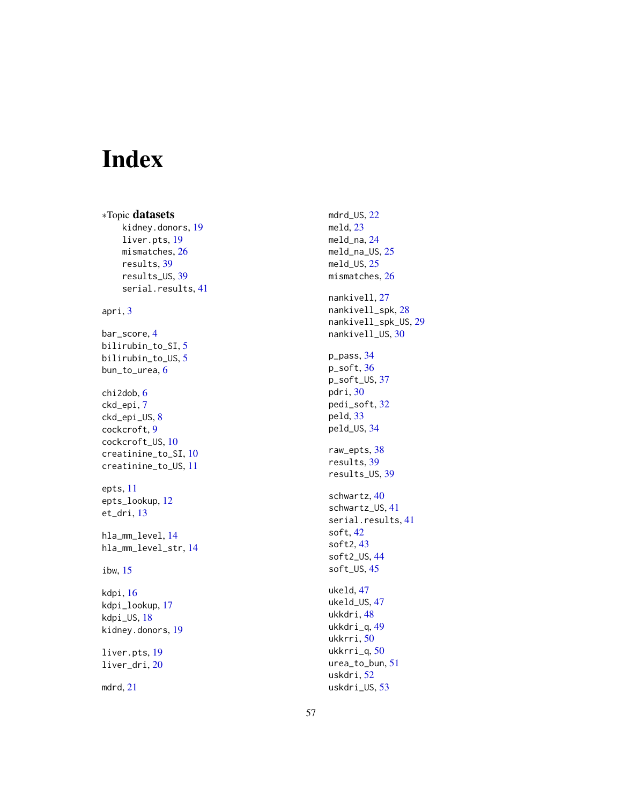# <span id="page-56-0"></span>Index

∗Topic datasets kidney.donors , [19](#page-18-0) liver.pts , [19](#page-18-0) mismatches , [26](#page-25-0) results , [39](#page-38-0) results\_US , [39](#page-38-0) serial.results , [41](#page-40-0) apri , [3](#page-2-0) bar\_score , [4](#page-3-0) bilirubin\_to\_SI , [5](#page-4-0) bilirubin\_to\_US , [5](#page-4-0) bun\_to\_urea, <mark>[6](#page-5-0)</mark> chi2dob , [6](#page-5-0) ckd\_epi , [7](#page-6-0) ckd\_epi\_US, [8](#page-7-0) cockcroft , [9](#page-8-0) cockcroft\_US , [10](#page-9-0) creatinine\_to\_SI , [10](#page-9-0) creatinine\_to\_US , [11](#page-10-0) epts , [11](#page-10-0) epts\_lookup , [12](#page-11-0) et\_dri , [13](#page-12-0) hla\_mm\_level , [14](#page-13-0) hla\_mm\_level\_str , [14](#page-13-0) ibw , [15](#page-14-0) kdpi , [16](#page-15-0) kdpi\_lookup , [17](#page-16-0) kdpi\_US , [18](#page-17-0) kidney.donors , [19](#page-18-0) liver.pts, [19](#page-18-0) liver\_dri , [20](#page-19-0) mdrd , [21](#page-20-0)

mdrd\_US , [22](#page-21-0) meld , [23](#page-22-0) meld\_na , [24](#page-23-0) meld\_na\_US , [25](#page-24-0) meld\_US, [25](#page-24-0) mismatches, [26](#page-25-0) nankivell, [27](#page-26-0) nankivell\_spk , [28](#page-27-0) nankivell\_spk\_US , [29](#page-28-0) nankivell\_US,[30](#page-29-0) p\_pass , [34](#page-33-0) p\_soft , [36](#page-35-0) p\_soft\_US , [37](#page-36-0) pdri , [30](#page-29-0) pedi\_soft , [32](#page-31-0) peld , [33](#page-32-0) peld\_US , [34](#page-33-0) raw\_epts , [38](#page-37-0) results , [39](#page-38-0) results\_US , [39](#page-38-0) schwartz , [40](#page-39-0) schwartz\_US , [41](#page-40-0) serial.results , [41](#page-40-0) soft , [42](#page-41-0) soft2 , [43](#page-42-0) soft2\_US , [44](#page-43-0) soft\_US , [45](#page-44-0) ukeld , [47](#page-46-0) ukeld\_US , [47](#page-46-0) ukkdri, 4<mark>8</mark> ukkdri\_q , [49](#page-48-0) ukkrri, <mark>[50](#page-49-0)</mark> ukkrri\_q , [50](#page-49-0) urea\_to\_bun , [51](#page-50-0) uskdri, <mark>5</mark>2 uskdri\_US , [53](#page-52-0)